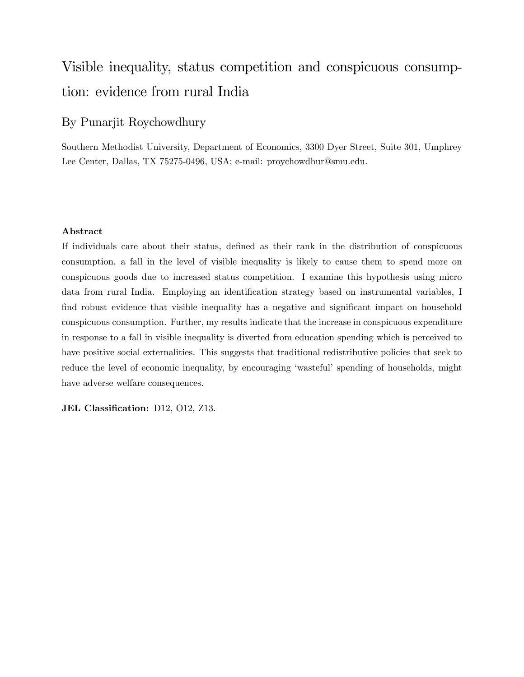# Visible inequality, status competition and conspicuous consumption: evidence from rural India

# By Punarjit Roychowdhury

Southern Methodist University, Department of Economics, 3300 Dyer Street, Suite 301, Umphrey Lee Center, Dallas, TX 75275-0496, USA; e-mail: proychowdhur@smu.edu.

#### Abstract

If individuals care about their status, defined as their rank in the distribution of conspicuous consumption, a fall in the level of visible inequality is likely to cause them to spend more on conspicuous goods due to increased status competition. I examine this hypothesis using micro data from rural India. Employing an identification strategy based on instrumental variables, I find robust evidence that visible inequality has a negative and significant impact on household conspicuous consumption. Further, my results indicate that the increase in conspicuous expenditure in response to a fall in visible inequality is diverted from education spending which is perceived to have positive social externalities. This suggests that traditional redistributive policies that seek to reduce the level of economic inequality, by encouraging 'wasteful' spending of households, might have adverse welfare consequences.

JEL Classification: D12, O12, Z13.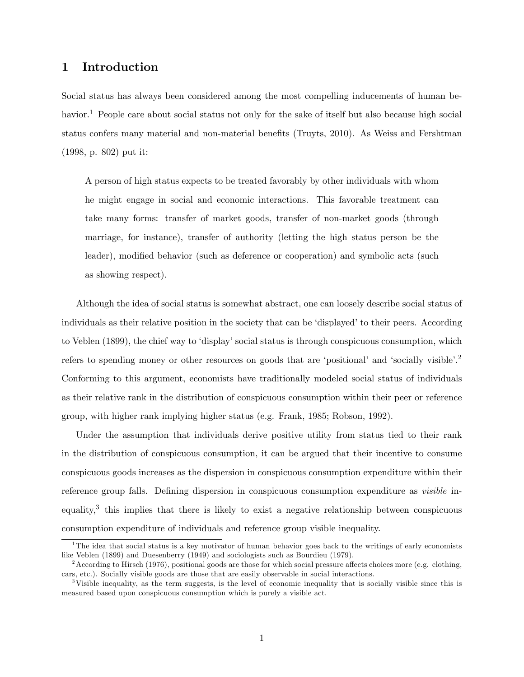# 1 Introduction

Social status has always been considered among the most compelling inducements of human behavior.<sup>1</sup> People care about social status not only for the sake of itself but also because high social status confers many material and non-material benefits (Truyts, 2010). As Weiss and Fershtman (1998, p. 802) put it:

A person of high status expects to be treated favorably by other individuals with whom he might engage in social and economic interactions. This favorable treatment can take many forms: transfer of market goods, transfer of non-market goods (through marriage, for instance), transfer of authority (letting the high status person be the leader), modified behavior (such as deference or cooperation) and symbolic acts (such as showing respect).

Although the idea of social status is somewhat abstract, one can loosely describe social status of individuals as their relative position in the society that can be 'displayed' to their peers. According to Veblen (1899), the chief way to 'display' social status is through conspicuous consumption, which refers to spending money or other resources on goods that are 'positional' and 'socially visible'.<sup>2</sup> Conforming to this argument, economists have traditionally modeled social status of individuals as their relative rank in the distribution of conspicuous consumption within their peer or reference group, with higher rank implying higher status (e.g. Frank, 1985; Robson, 1992).

Under the assumption that individuals derive positive utility from status tied to their rank in the distribution of conspicuous consumption, it can be argued that their incentive to consume conspicuous goods increases as the dispersion in conspicuous consumption expenditure within their reference group falls. Defining dispersion in conspicuous consumption expenditure as *visible* inequality,<sup>3</sup> this implies that there is likely to exist a negative relationship between conspicuous consumption expenditure of individuals and reference group visible inequality.

<sup>&</sup>lt;sup>1</sup>The idea that social status is a key motivator of human behavior goes back to the writings of early economists like Veblen (1899) and Duesenberry (1949) and sociologists such as Bourdieu (1979).

<sup>&</sup>lt;sup>2</sup> According to Hirsch (1976), positional goods are those for which social pressure affects choices more (e.g. clothing, cars, etc.). Socially visible goods are those that are easily observable in social interactions.

<sup>&</sup>lt;sup>3</sup>Visible inequality, as the term suggests, is the level of economic inequality that is socially visible since this is measured based upon conspicuous consumption which is purely a visible act.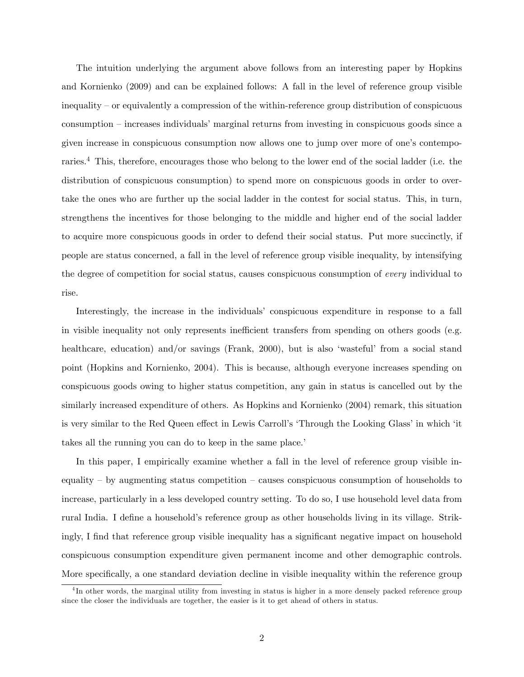The intuition underlying the argument above follows from an interesting paper by Hopkins and Kornienko (2009) and can be explained follows: A fall in the level of reference group visible inequality  $\sim$  or equivalently a compression of the within-reference group distribution of conspicuous  $\alpha$  consumption – increases individuals' marginal returns from investing in conspicuous goods since a given increase in conspicuous consumption now allows one to jump over more of one's contemporaries.<sup>4</sup> This, therefore, encourages those who belong to the lower end of the social ladder (i.e. the distribution of conspicuous consumption) to spend more on conspicuous goods in order to overtake the ones who are further up the social ladder in the contest for social status. This, in turn, strengthens the incentives for those belonging to the middle and higher end of the social ladder to acquire more conspicuous goods in order to defend their social status. Put more succinctly, if people are status concerned, a fall in the level of reference group visible inequality, by intensifying the degree of competition for social status, causes conspicuous consumption of every individual to rise.

Interestingly, the increase in the individuals' conspicuous expenditure in response to a fall in visible inequality not only represents inefficient transfers from spending on others goods (e.g. healthcare, education) and/or savings (Frank, 2000), but is also 'wasteful' from a social stand point (Hopkins and Kornienko, 2004). This is because, although everyone increases spending on conspicuous goods owing to higher status competition, any gain in status is cancelled out by the similarly increased expenditure of others. As Hopkins and Kornienko (2004) remark, this situation is very similar to the Red Queen effect in Lewis Carroll's 'Through the Looking Glass' in which 'it takes all the running you can do to keep in the same place.

In this paper, I empirically examine whether a fall in the level of reference group visible inequality  $-$  by augmenting status competition  $-$  causes conspicuous consumption of households to increase, particularly in a less developed country setting. To do so, I use household level data from rural India. I define a household's reference group as other households living in its village. Strikingly, I find that reference group visible inequality has a significant negative impact on household conspicuous consumption expenditure given permanent income and other demographic controls. More specifically, a one standard deviation decline in visible inequality within the reference group

<sup>4</sup> In other words, the marginal utility from investing in status is higher in a more densely packed reference group since the closer the individuals are together, the easier is it to get ahead of others in status.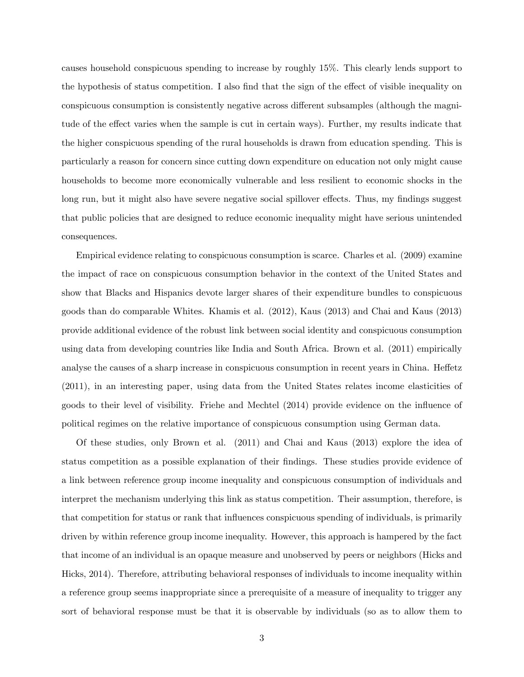causes household conspicuous spending to increase by roughly 15%. This clearly lends support to the hypothesis of status competition. I also find that the sign of the effect of visible inequality on conspicuous consumption is consistently negative across different subsamples (although the magnitude of the effect varies when the sample is cut in certain ways). Further, my results indicate that the higher conspicuous spending of the rural households is drawn from education spending. This is particularly a reason for concern since cutting down expenditure on education not only might cause households to become more economically vulnerable and less resilient to economic shocks in the long run, but it might also have severe negative social spillover effects. Thus, my findings suggest that public policies that are designed to reduce economic inequality might have serious unintended consequences.

Empirical evidence relating to conspicuous consumption is scarce. Charles et al. (2009) examine the impact of race on conspicuous consumption behavior in the context of the United States and show that Blacks and Hispanics devote larger shares of their expenditure bundles to conspicuous goods than do comparable Whites. Khamis et al. (2012), Kaus (2013) and Chai and Kaus (2013) provide additional evidence of the robust link between social identity and conspicuous consumption using data from developing countries like India and South Africa. Brown et al. (2011) empirically analyse the causes of a sharp increase in conspicuous consumption in recent years in China. Heffetz (2011), in an interesting paper, using data from the United States relates income elasticities of goods to their level of visibility. Friehe and Mechtel (2014) provide evidence on the ináuence of political regimes on the relative importance of conspicuous consumption using German data.

Of these studies, only Brown et al. (2011) and Chai and Kaus (2013) explore the idea of status competition as a possible explanation of their findings. These studies provide evidence of a link between reference group income inequality and conspicuous consumption of individuals and interpret the mechanism underlying this link as status competition. Their assumption, therefore, is that competition for status or rank that influences conspicuous spending of individuals, is primarily driven by within reference group income inequality. However, this approach is hampered by the fact that income of an individual is an opaque measure and unobserved by peers or neighbors (Hicks and Hicks, 2014). Therefore, attributing behavioral responses of individuals to income inequality within a reference group seems inappropriate since a prerequisite of a measure of inequality to trigger any sort of behavioral response must be that it is observable by individuals (so as to allow them to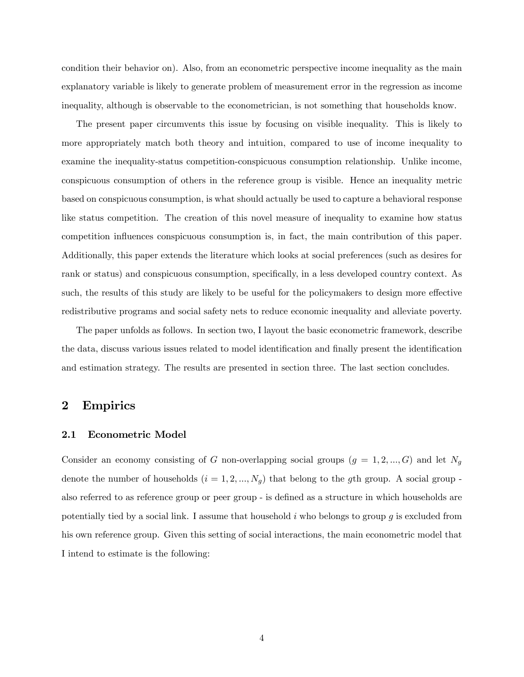condition their behavior on). Also, from an econometric perspective income inequality as the main explanatory variable is likely to generate problem of measurement error in the regression as income inequality, although is observable to the econometrician, is not something that households know.

The present paper circumvents this issue by focusing on visible inequality. This is likely to more appropriately match both theory and intuition, compared to use of income inequality to examine the inequality-status competition-conspicuous consumption relationship. Unlike income, conspicuous consumption of others in the reference group is visible. Hence an inequality metric based on conspicuous consumption, is what should actually be used to capture a behavioral response like status competition. The creation of this novel measure of inequality to examine how status competition ináuences conspicuous consumption is, in fact, the main contribution of this paper. Additionally, this paper extends the literature which looks at social preferences (such as desires for rank or status) and conspicuous consumption, specifically, in a less developed country context. As such, the results of this study are likely to be useful for the policymakers to design more effective redistributive programs and social safety nets to reduce economic inequality and alleviate poverty.

The paper unfolds as follows. In section two, I layout the basic econometric framework, describe the data, discuss various issues related to model identification and finally present the identification and estimation strategy. The results are presented in section three. The last section concludes.

## 2 Empirics

#### 2.1 Econometric Model

Consider an economy consisting of G non-overlapping social groups  $(g = 1, 2, ..., G)$  and let  $N_g$ denote the number of households  $(i = 1, 2, ..., N_g)$  that belong to the gth group. A social group also referred to as reference group or peer group - is defined as a structure in which households are potentially tied by a social link. I assume that household  $i$  who belongs to group  $g$  is excluded from his own reference group. Given this setting of social interactions, the main econometric model that I intend to estimate is the following: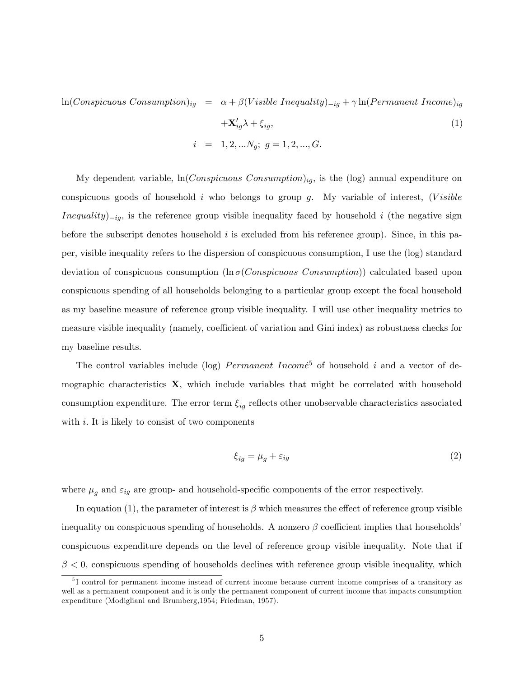$\ln(Conspicuous\ Community)_{ig} = \alpha + \beta(Visible\ Inequality)_{-ig} + \gamma \ln(Permanent\ Income)_{ig}$ 

$$
+ \mathbf{X}'_{ig} \lambda + \xi_{ig},
$$
  
\n
$$
i = 1, 2, \dots N_g; \ g = 1, 2, \dots, G.
$$
\n(1)

My dependent variable,  $ln(Conspicuous\ Community_{iq}$ , is the (log) annual expenditure on conspicuous goods of household  $i$  who belongs to group  $g$ . My variable of interest, (Visible Inequality)<sub>ig</sub>, is the reference group visible inequality faced by household i (the negative sign before the subscript denotes household  $i$  is excluded from his reference group). Since, in this paper, visible inequality refers to the dispersion of conspicuous consumption, I use the (log) standard deviation of conspicuous consumption  $(\ln \sigma (Conspicuous \in Osmanlı))$  calculated based upon conspicuous spending of all households belonging to a particular group except the focal household as my baseline measure of reference group visible inequality. I will use other inequality metrics to measure visible inequality (namely, coefficient of variation and Gini index) as robustness checks for my baseline results.

The control variables include (log) *Permanent Income*<sup>5</sup> of household i and a vector of demographic characteristics  $X$ , which include variables that might be correlated with household consumption expenditure. The error term  $\xi_{ig}$  reflects other unobservable characteristics associated with  $i$ . It is likely to consist of two components

$$
\xi_{ig} = \mu_g + \varepsilon_{ig} \tag{2}
$$

where  $\mu_g$  and  $\varepsilon_{ig}$  are group- and household-specific components of the error respectively.

In equation (1), the parameter of interest is  $\beta$  which measures the effect of reference group visible inequality on conspicuous spending of households. A nonzero  $\beta$  coefficient implies that households conspicuous expenditure depends on the level of reference group visible inequality. Note that if  $\beta$  < 0, conspicuous spending of households declines with reference group visible inequality, which

<sup>&</sup>lt;sup>5</sup>I control for permanent income instead of current income because current income comprises of a transitory as well as a permanent component and it is only the permanent component of current income that impacts consumption expenditure (Modigliani and Brumberg,1954; Friedman, 1957).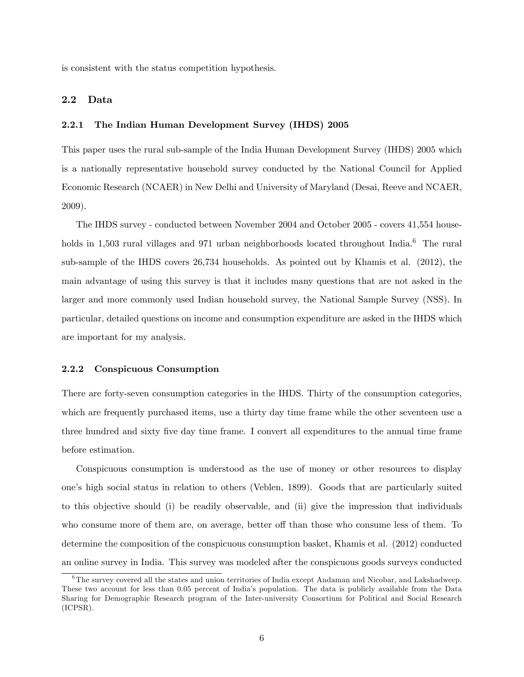is consistent with the status competition hypothesis.

#### 2.2 Data

#### 2.2.1 The Indian Human Development Survey (IHDS) 2005

This paper uses the rural sub-sample of the India Human Development Survey (IHDS) 2005 which is a nationally representative household survey conducted by the National Council for Applied Economic Research (NCAER) in New Delhi and University of Maryland (Desai, Reeve and NCAER, 2009).

The IHDS survey - conducted between November 2004 and October 2005 - covers 41,554 households in 1,503 rural villages and 971 urban neighborhoods located throughout India.<sup>6</sup> The rural sub-sample of the IHDS covers 26,734 households. As pointed out by Khamis et al. (2012), the main advantage of using this survey is that it includes many questions that are not asked in the larger and more commonly used Indian household survey, the National Sample Survey (NSS). In particular, detailed questions on income and consumption expenditure are asked in the IHDS which are important for my analysis.

#### 2.2.2 Conspicuous Consumption

There are forty-seven consumption categories in the IHDS. Thirty of the consumption categories, which are frequently purchased items, use a thirty day time frame while the other seventeen use a three hundred and sixty Öve day time frame. I convert all expenditures to the annual time frame before estimation.

Conspicuous consumption is understood as the use of money or other resources to display one's high social status in relation to others (Veblen, 1899). Goods that are particularly suited to this objective should (i) be readily observable, and (ii) give the impression that individuals who consume more of them are, on average, better off than those who consume less of them. To determine the composition of the conspicuous consumption basket, Khamis et al. (2012) conducted an online survey in India. This survey was modeled after the conspicuous goods surveys conducted

<sup>&</sup>lt;sup>6</sup>The survey covered all the states and union territories of India except Andaman and Nicobar, and Lakshadweep. These two account for less than 0.05 percent of Indiaís population. The data is publicly available from the Data Sharing for Demographic Research program of the Inter-university Consortium for Political and Social Research (ICPSR).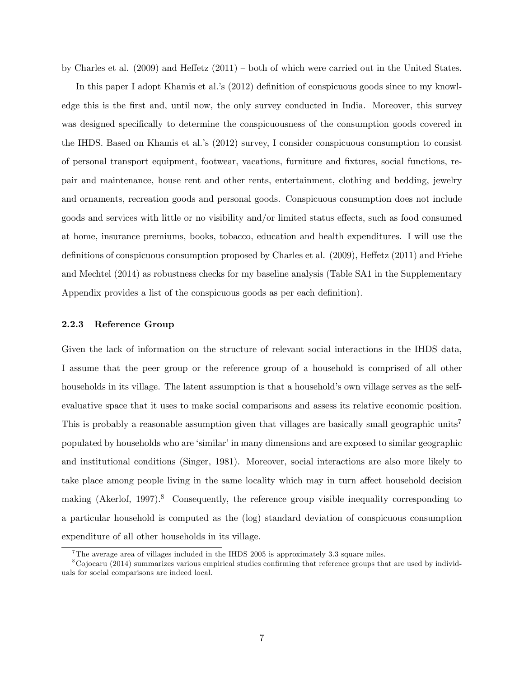by Charles et al.  $(2009)$  and Heffetz  $(2011)$  – both of which were carried out in the United States.

In this paper I adopt Khamis et al.'s (2012) definition of conspicuous goods since to my knowledge this is the first and, until now, the only survey conducted in India. Moreover, this survey was designed specifically to determine the conspicuousness of the consumption goods covered in the IHDS. Based on Khamis et al.ís (2012) survey, I consider conspicuous consumption to consist of personal transport equipment, footwear, vacations, furniture and Öxtures, social functions, repair and maintenance, house rent and other rents, entertainment, clothing and bedding, jewelry and ornaments, recreation goods and personal goods. Conspicuous consumption does not include goods and services with little or no visibility and/or limited status effects, such as food consumed at home, insurance premiums, books, tobacco, education and health expenditures. I will use the definitions of conspicuous consumption proposed by Charles et al.  $(2009)$ , Heffetz  $(2011)$  and Friehe and Mechtel (2014) as robustness checks for my baseline analysis (Table SA1 in the Supplementary Appendix provides a list of the conspicuous goods as per each definition).

#### 2.2.3 Reference Group

Given the lack of information on the structure of relevant social interactions in the IHDS data, I assume that the peer group or the reference group of a household is comprised of all other households in its village. The latent assumption is that a household's own village serves as the selfevaluative space that it uses to make social comparisons and assess its relative economic position. This is probably a reasonable assumption given that villages are basically small geographic units<sup>7</sup> populated by households who are 'similar' in many dimensions and are exposed to similar geographic and institutional conditions (Singer, 1981). Moreover, social interactions are also more likely to take place among people living in the same locality which may in turn affect household decision making (Akerlof, 1997).<sup>8</sup> Consequently, the reference group visible inequality corresponding to a particular household is computed as the (log) standard deviation of conspicuous consumption expenditure of all other households in its village.

<sup>&</sup>lt;sup>7</sup>The average area of villages included in the IHDS 2005 is approximately 3.3 square miles.

 $8C$ ojocaru (2014) summarizes various empirical studies confirming that reference groups that are used by individuals for social comparisons are indeed local.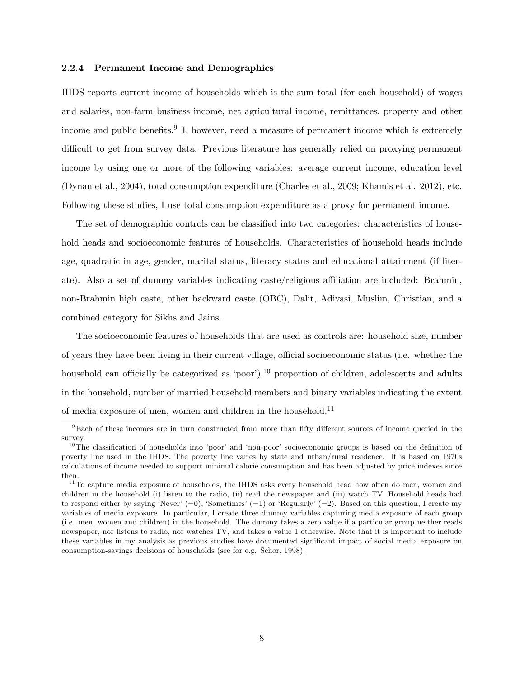#### 2.2.4 Permanent Income and Demographics

IHDS reports current income of households which is the sum total (for each household) of wages and salaries, non-farm business income, net agricultural income, remittances, property and other income and public benefits.<sup>9</sup> I, however, need a measure of permanent income which is extremely difficult to get from survey data. Previous literature has generally relied on proxying permanent income by using one or more of the following variables: average current income, education level (Dynan et al., 2004), total consumption expenditure (Charles et al., 2009; Khamis et al. 2012), etc. Following these studies, I use total consumption expenditure as a proxy for permanent income.

The set of demographic controls can be classified into two categories: characteristics of household heads and socioeconomic features of households. Characteristics of household heads include age, quadratic in age, gender, marital status, literacy status and educational attainment (if literate). Also a set of dummy variables indicating caste/religious affiliation are included: Brahmin, non-Brahmin high caste, other backward caste (OBC), Dalit, Adivasi, Muslim, Christian, and a combined category for Sikhs and Jains.

The socioeconomic features of households that are used as controls are: household size, number of years they have been living in their current village, official socioeconomic status (i.e. whether the household can officially be categorized as 'poor'),<sup>10</sup> proportion of children, adolescents and adults in the household, number of married household members and binary variables indicating the extent of media exposure of men, women and children in the household.<sup>11</sup>

 $9$ Each of these incomes are in turn constructed from more than fifty different sources of income queried in the survey.

<sup>&</sup>lt;sup>10</sup>The classification of households into 'poor' and 'non-poor' socioeconomic groups is based on the definition of poverty line used in the IHDS. The poverty line varies by state and urban/rural residence. It is based on 1970s calculations of income needed to support minimal calorie consumption and has been adjusted by price indexes since then.

<sup>&</sup>lt;sup>11</sup>To capture media exposure of households, the IHDS asks every household head how often do men, women and children in the household (i) listen to the radio, (ii) read the newspaper and (iii) watch TV. Household heads had to respond either by saying 'Never'  $(=0)$ , 'Sometimes'  $(=1)$  or 'Regularly'  $(=2)$ . Based on this question, I create my variables of media exposure. In particular, I create three dummy variables capturing media exposure of each group (i.e. men, women and children) in the household. The dummy takes a zero value if a particular group neither reads newspaper, nor listens to radio, nor watches TV, and takes a value 1 otherwise. Note that it is important to include these variables in my analysis as previous studies have documented significant impact of social media exposure on consumption-savings decisions of households (see for e.g. Schor, 1998).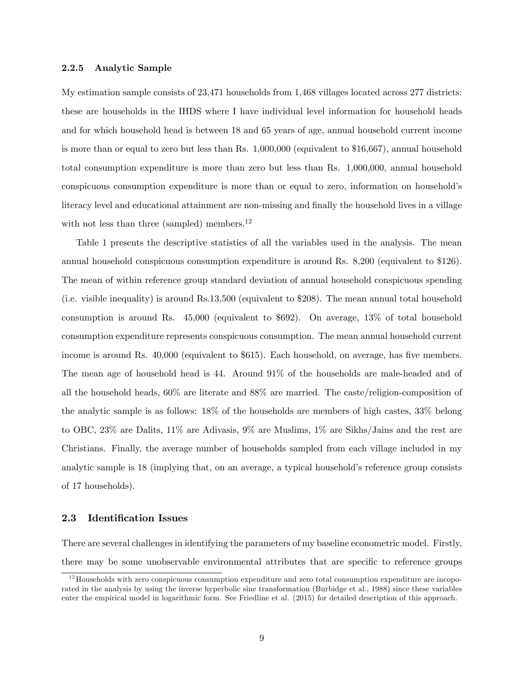#### 2.2.5 Analytic Sample

My estimation sample consists of 23,471 households from 1,468 villages located across 277 districts: these are households in the IHDS where I have individual level information for household heads and for which household head is between 18 and 65 years of age, annual household current income is more than or equal to zero but less than Rs. 1,000,000 (equivalent to \$16,667), annual household total consumption expenditure is more than zero but less than Rs. 1,000,000, annual household conspicuous consumption expenditure is more than or equal to zero, information on householdís literacy level and educational attainment are non-missing and finally the household lives in a village with not less than three (sampled) members.<sup>12</sup>

Table 1 presents the descriptive statistics of all the variables used in the analysis. The mean annual household conspicuous consumption expenditure is around Rs. 8,200 (equivalent to \$126). The mean of within reference group standard deviation of annual household conspicuous spending (i.e. visible inequality) is around Rs.13,500 (equivalent to \$208). The mean annual total household consumption is around Rs. 45,000 (equivalent to \$692). On average, 13% of total household consumption expenditure represents conspicuous consumption. The mean annual household current income is around Rs. 40,000 (equivalent to \$615). Each household, on average, has five members. The mean age of household head is 44. Around 91% of the households are male-headed and of all the household heads, 60% are literate and 88% are married. The caste/religion-composition of the analytic sample is as follows: 18% of the households are members of high castes, 33% belong to OBC, 23% are Dalits, 11% are Adivasis, 9% are Muslims, 1% are Sikhs/Jains and the rest are Christians. Finally, the average number of households sampled from each village included in my analytic sample is 18 (implying that, on an average, a typical household's reference group consists of 17 households).

#### 2.3 Identification Issues

There are several challenges in identifying the parameters of my baseline econometric model. Firstly, there may be some unobservable environmental attributes that are specific to reference groups

 $12$  Households with zero conspicuous consumption expenditure and zero total consumption expenditure are incoporated in the analysis by using the inverse hyperbolic sine transformation (Burbidge et al., 1988) since these variables enter the empirical model in logarithmic form. See Friedline et al. (2015) for detailed description of this approach.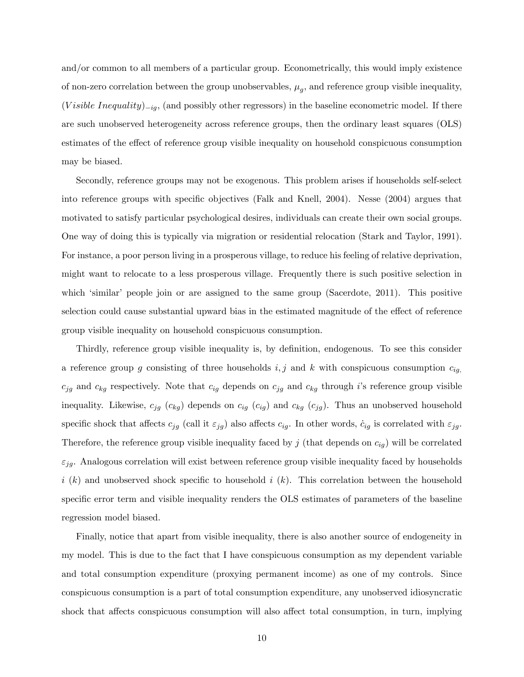and/or common to all members of a particular group. Econometrically, this would imply existence of non-zero correlation between the group unobservables,  $\mu_g$ , and reference group visible inequality,  $(Visible\ Inequality)_{-ig}$ , (and possibly other regressors) in the baseline econometric model. If there are such unobserved heterogeneity across reference groups, then the ordinary least squares (OLS) estimates of the effect of reference group visible inequality on household conspicuous consumption may be biased.

Secondly, reference groups may not be exogenous. This problem arises if households self-select into reference groups with specific objectives (Falk and Knell, 2004). Nesse (2004) argues that motivated to satisfy particular psychological desires, individuals can create their own social groups. One way of doing this is typically via migration or residential relocation (Stark and Taylor, 1991). For instance, a poor person living in a prosperous village, to reduce his feeling of relative deprivation, might want to relocate to a less prosperous village. Frequently there is such positive selection in which 'similar' people join or are assigned to the same group (Sacerdote, 2011). This positive selection could cause substantial upward bias in the estimated magnitude of the effect of reference group visible inequality on household conspicuous consumption.

Thirdly, reference group visible inequality is, by definition, endogenous. To see this consider a reference group g consisting of three households  $i, j$  and k with conspicuous consumption  $c_{ig}$ ,  $c_{jg}$  and  $c_{kg}$  respectively. Note that  $c_{ig}$  depends on  $c_{jg}$  and  $c_{kg}$  through i's reference group visible inequality. Likewise,  $c_{jg}$  ( $c_{kg}$ ) depends on  $c_{ig}$  ( $c_{ig}$ ) and  $c_{kg}$  ( $c_{jg}$ ). Thus an unobserved household specific shock that affects  $c_{jg}$  (call it  $\varepsilon_{jg}$ ) also affects  $c_{ig}$ . In other words,  $\dot{c}_{ig}$  is correlated with  $\varepsilon_{jg}$ . Therefore, the reference group visible inequality faced by  $j$  (that depends on  $c_{ig}$ ) will be correlated  $\varepsilon_{jg}$ . Analogous correlation will exist between reference group visible inequality faced by households  $i(k)$  and unobserved shock specific to household  $i(k)$ . This correlation between the household specific error term and visible inequality renders the OLS estimates of parameters of the baseline regression model biased.

Finally, notice that apart from visible inequality, there is also another source of endogeneity in my model. This is due to the fact that I have conspicuous consumption as my dependent variable and total consumption expenditure (proxying permanent income) as one of my controls. Since conspicuous consumption is a part of total consumption expenditure, any unobserved idiosyncratic shock that affects conspicuous consumption will also affect total consumption, in turn, implying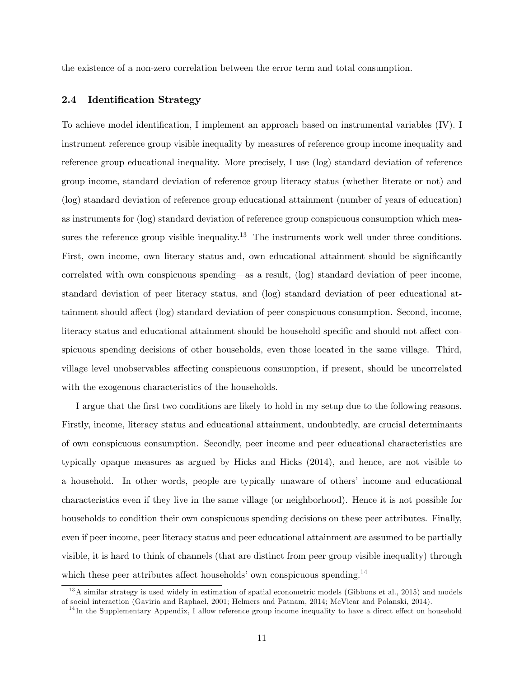the existence of a non-zero correlation between the error term and total consumption.

### 2.4 Identification Strategy

To achieve model identification, I implement an approach based on instrumental variables  $(IV)$ . I instrument reference group visible inequality by measures of reference group income inequality and reference group educational inequality. More precisely, I use (log) standard deviation of reference group income, standard deviation of reference group literacy status (whether literate or not) and (log) standard deviation of reference group educational attainment (number of years of education) as instruments for (log) standard deviation of reference group conspicuous consumption which measures the reference group visible inequality.<sup>13</sup> The instruments work well under three conditions. First, own income, own literacy status and, own educational attainment should be significantly correlated with own conspicuous spending—as a result,  $(log)$  standard deviation of peer income, standard deviation of peer literacy status, and (log) standard deviation of peer educational attainment should affect (log) standard deviation of peer conspicuous consumption. Second, income, literacy status and educational attainment should be household specific and should not affect conspicuous spending decisions of other households, even those located in the same village. Third, village level unobservables affecting conspicuous consumption, if present, should be uncorrelated with the exogenous characteristics of the households.

I argue that the first two conditions are likely to hold in my setup due to the following reasons. Firstly, income, literacy status and educational attainment, undoubtedly, are crucial determinants of own conspicuous consumption. Secondly, peer income and peer educational characteristics are typically opaque measures as argued by Hicks and Hicks (2014), and hence, are not visible to a household. In other words, people are typically unaware of others' income and educational characteristics even if they live in the same village (or neighborhood). Hence it is not possible for households to condition their own conspicuous spending decisions on these peer attributes. Finally, even if peer income, peer literacy status and peer educational attainment are assumed to be partially visible, it is hard to think of channels (that are distinct from peer group visible inequality) through which these peer attributes affect households' own conspicuous spending.<sup>14</sup>

 $^{13}$ A similar strategy is used widely in estimation of spatial econometric models (Gibbons et al., 2015) and models of social interaction (Gaviria and Raphael, 2001; Helmers and Patnam, 2014; McVicar and Polanski, 2014).

 $14$ In the Supplementary Appendix, I allow reference group income inequality to have a direct effect on household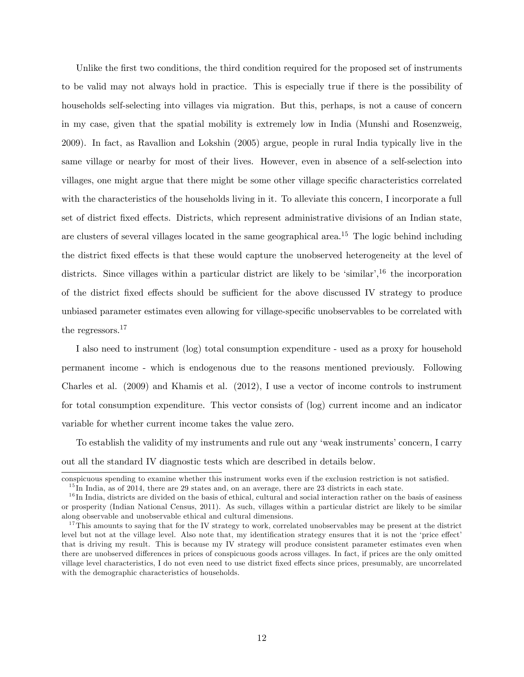Unlike the first two conditions, the third condition required for the proposed set of instruments to be valid may not always hold in practice. This is especially true if there is the possibility of households self-selecting into villages via migration. But this, perhaps, is not a cause of concern in my case, given that the spatial mobility is extremely low in India (Munshi and Rosenzweig, 2009). In fact, as Ravallion and Lokshin (2005) argue, people in rural India typically live in the same village or nearby for most of their lives. However, even in absence of a self-selection into villages, one might argue that there might be some other village specific characteristics correlated with the characteristics of the households living in it. To alleviate this concern, I incorporate a full set of district fixed effects. Districts, which represent administrative divisions of an Indian state, are clusters of several villages located in the same geographical area.<sup>15</sup> The logic behind including the district fixed effects is that these would capture the unobserved heterogeneity at the level of districts. Since villages within a particular district are likely to be 'similar',  $^{16}$  the incorporation of the district fixed effects should be sufficient for the above discussed IV strategy to produce unbiased parameter estimates even allowing for village-specific unobservables to be correlated with the regressors.<sup>17</sup>

I also need to instrument (log) total consumption expenditure - used as a proxy for household permanent income - which is endogenous due to the reasons mentioned previously. Following Charles et al. (2009) and Khamis et al. (2012), I use a vector of income controls to instrument for total consumption expenditure. This vector consists of (log) current income and an indicator variable for whether current income takes the value zero.

To establish the validity of my instruments and rule out any ëweak instrumentsí concern, I carry out all the standard IV diagnostic tests which are described in details below.

conspicuous spending to examine whether this instrument works even if the exclusion restriction is not satisfied.

 $15$  In India, as of 2014, there are 29 states and, on an average, there are 23 districts in each state.

 $16$  In India, districts are divided on the basis of ethical, cultural and social interaction rather on the basis of easiness or prosperity (Indian National Census, 2011). As such, villages within a particular district are likely to be similar along observable and unobservable ethical and cultural dimensions.

 $17$ This amounts to saying that for the IV strategy to work, correlated unobservables may be present at the district level but not at the village level. Also note that, my identification strategy ensures that it is not the 'price effect' that is driving my result. This is because my IV strategy will produce consistent parameter estimates even when there are unobserved differences in prices of conspicuous goods across villages. In fact, if prices are the only omitted village level characteristics, I do not even need to use district fixed effects since prices, presumably, are uncorrelated with the demographic characteristics of households.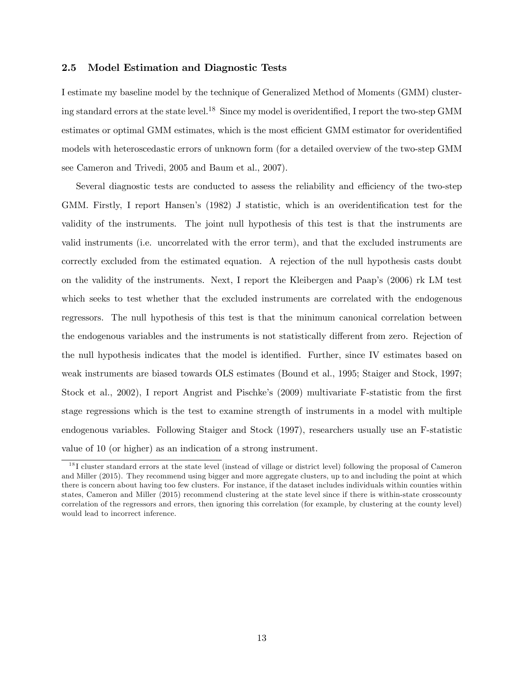#### 2.5 Model Estimation and Diagnostic Tests

I estimate my baseline model by the technique of Generalized Method of Moments (GMM) clustering standard errors at the state level.<sup>18</sup> Since my model is overidentified, I report the two-step GMM estimates or optimal GMM estimates, which is the most efficient GMM estimator for overidentified models with heteroscedastic errors of unknown form (for a detailed overview of the two-step GMM see Cameron and Trivedi, 2005 and Baum et al., 2007).

Several diagnostic tests are conducted to assess the reliability and efficiency of the two-step GMM. Firstly, I report Hansen's (1982) J statistic, which is an overidentification test for the validity of the instruments. The joint null hypothesis of this test is that the instruments are valid instruments (i.e. uncorrelated with the error term), and that the excluded instruments are correctly excluded from the estimated equation. A rejection of the null hypothesis casts doubt on the validity of the instruments. Next, I report the Kleibergen and Paapís (2006) rk LM test which seeks to test whether that the excluded instruments are correlated with the endogenous regressors. The null hypothesis of this test is that the minimum canonical correlation between the endogenous variables and the instruments is not statistically different from zero. Rejection of the null hypothesis indicates that the model is identified. Further, since IV estimates based on weak instruments are biased towards OLS estimates (Bound et al., 1995; Staiger and Stock, 1997; Stock et al., 2002), I report Angrist and Pischke's (2009) multivariate F-statistic from the first stage regressions which is the test to examine strength of instruments in a model with multiple endogenous variables. Following Staiger and Stock (1997), researchers usually use an F-statistic value of 10 (or higher) as an indication of a strong instrument.

<sup>&</sup>lt;sup>18</sup>I cluster standard errors at the state level (instead of village or district level) following the proposal of Cameron and Miller (2015). They recommend using bigger and more aggregate clusters, up to and including the point at which there is concern about having too few clusters. For instance, if the dataset includes individuals within counties within states, Cameron and Miller (2015) recommend clustering at the state level since if there is within-state crosscounty correlation of the regressors and errors, then ignoring this correlation (for example, by clustering at the county level) would lead to incorrect inference.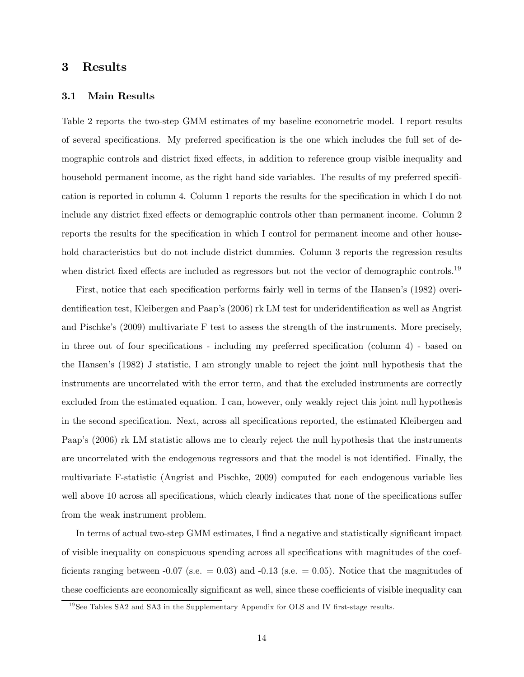# 3 Results

#### 3.1 Main Results

Table 2 reports the two-step GMM estimates of my baseline econometric model. I report results of several specifications. My preferred specification is the one which includes the full set of demographic controls and district fixed effects, in addition to reference group visible inequality and household permanent income, as the right hand side variables. The results of my preferred specification is reported in column 4. Column 1 reports the results for the specification in which I do not include any district fixed effects or demographic controls other than permanent income. Column 2 reports the results for the specification in which I control for permanent income and other household characteristics but do not include district dummies. Column 3 reports the regression results when district fixed effects are included as regressors but not the vector of demographic controls.<sup>19</sup>

First, notice that each specification performs fairly well in terms of the Hansen's (1982) overidentification test, Kleibergen and Paap's (2006) rk LM test for underidentification as well as Angrist and Pischke's  $(2009)$  multivariate F test to assess the strength of the instruments. More precisely, in three out of four specifications - including my preferred specification (column 4) - based on the Hansenís (1982) J statistic, I am strongly unable to reject the joint null hypothesis that the instruments are uncorrelated with the error term, and that the excluded instruments are correctly excluded from the estimated equation. I can, however, only weakly reject this joint null hypothesis in the second specification. Next, across all specifications reported, the estimated Kleibergen and Paap's (2006) rk LM statistic allows me to clearly reject the null hypothesis that the instruments are uncorrelated with the endogenous regressors and that the model is not identified. Finally, the multivariate F-statistic (Angrist and Pischke, 2009) computed for each endogenous variable lies well above 10 across all specifications, which clearly indicates that none of the specifications suffer from the weak instrument problem.

In terms of actual two-step GMM estimates, I find a negative and statistically significant impact of visible inequality on conspicuous spending across all specifications with magnitudes of the coefficients ranging between  $-0.07$  (s.e.  $= 0.03$ ) and  $-0.13$  (s.e.  $= 0.05$ ). Notice that the magnitudes of these coefficients are economically significant as well, since these coefficients of visible inequality can

 $^{19}$  See Tables SA2 and SA3 in the Supplementary Appendix for OLS and IV first-stage results.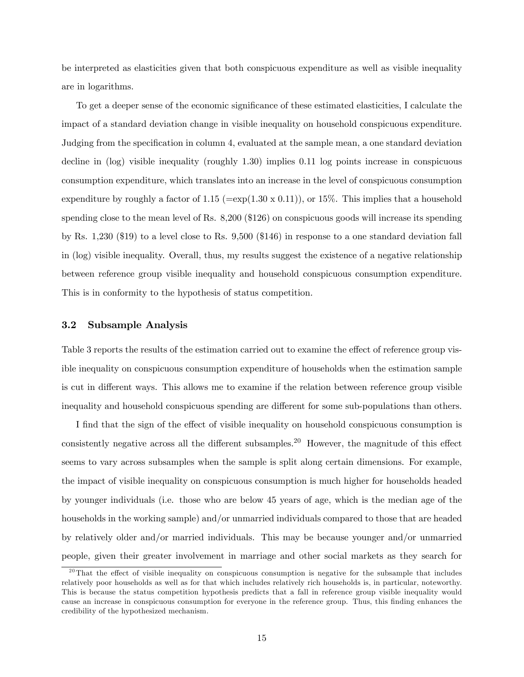be interpreted as elasticities given that both conspicuous expenditure as well as visible inequality are in logarithms.

To get a deeper sense of the economic significance of these estimated elasticities, I calculate the impact of a standard deviation change in visible inequality on household conspicuous expenditure. Judging from the specification in column 4, evaluated at the sample mean, a one standard deviation decline in (log) visible inequality (roughly 1.30) implies 0.11 log points increase in conspicuous consumption expenditure, which translates into an increase in the level of conspicuous consumption expenditure by roughly a factor of 1.15 ( $=\exp(1.30 \times 0.11)$ ), or 15%. This implies that a household spending close to the mean level of Rs. 8,200 (\$126) on conspicuous goods will increase its spending by Rs. 1,230 (\$19) to a level close to Rs. 9,500 (\$146) in response to a one standard deviation fall in (log) visible inequality. Overall, thus, my results suggest the existence of a negative relationship between reference group visible inequality and household conspicuous consumption expenditure. This is in conformity to the hypothesis of status competition.

#### 3.2 Subsample Analysis

Table 3 reports the results of the estimation carried out to examine the effect of reference group visible inequality on conspicuous consumption expenditure of households when the estimation sample is cut in different ways. This allows me to examine if the relation between reference group visible inequality and household conspicuous spending are different for some sub-populations than others.

I find that the sign of the effect of visible inequality on household conspicuous consumption is consistently negative across all the different subsamples.<sup>20</sup> However, the magnitude of this effect seems to vary across subsamples when the sample is split along certain dimensions. For example, the impact of visible inequality on conspicuous consumption is much higher for households headed by younger individuals (i.e. those who are below 45 years of age, which is the median age of the households in the working sample) and/or unmarried individuals compared to those that are headed by relatively older and/or married individuals. This may be because younger and/or unmarried people, given their greater involvement in marriage and other social markets as they search for

 $20$ That the effect of visible inequality on conspicuous consumption is negative for the subsample that includes relatively poor households as well as for that which includes relatively rich households is, in particular, noteworthy. This is because the status competition hypothesis predicts that a fall in reference group visible inequality would cause an increase in conspicuous consumption for everyone in the reference group. Thus, this finding enhances the credibility of the hypothesized mechanism.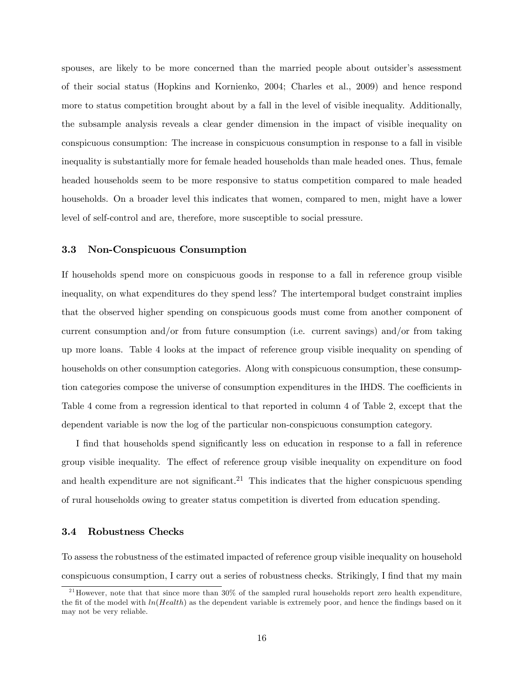spouses, are likely to be more concerned than the married people about outsider's assessment of their social status (Hopkins and Kornienko, 2004; Charles et al., 2009) and hence respond more to status competition brought about by a fall in the level of visible inequality. Additionally, the subsample analysis reveals a clear gender dimension in the impact of visible inequality on conspicuous consumption: The increase in conspicuous consumption in response to a fall in visible inequality is substantially more for female headed households than male headed ones. Thus, female headed households seem to be more responsive to status competition compared to male headed households. On a broader level this indicates that women, compared to men, might have a lower level of self-control and are, therefore, more susceptible to social pressure.

#### 3.3 Non-Conspicuous Consumption

If households spend more on conspicuous goods in response to a fall in reference group visible inequality, on what expenditures do they spend less? The intertemporal budget constraint implies that the observed higher spending on conspicuous goods must come from another component of current consumption and/or from future consumption (i.e. current savings) and/or from taking up more loans. Table 4 looks at the impact of reference group visible inequality on spending of households on other consumption categories. Along with conspicuous consumption, these consumption categories compose the universe of consumption expenditures in the IHDS. The coefficients in Table 4 come from a regression identical to that reported in column 4 of Table 2, except that the dependent variable is now the log of the particular non-conspicuous consumption category.

I find that households spend significantly less on education in response to a fall in reference group visible inequality. The effect of reference group visible inequality on expenditure on food and health expenditure are not significant.<sup>21</sup> This indicates that the higher conspicuous spending of rural households owing to greater status competition is diverted from education spending.

#### 3.4 Robustness Checks

To assess the robustness of the estimated impacted of reference group visible inequality on household conspicuous consumption, I carry out a series of robustness checks. Strikingly, I find that my main

 $^{21}$ However, note that that since more than 30% of the sampled rural households report zero health expenditure, the fit of the model with  $ln(Health)$  as the dependent variable is extremely poor, and hence the findings based on it may not be very reliable.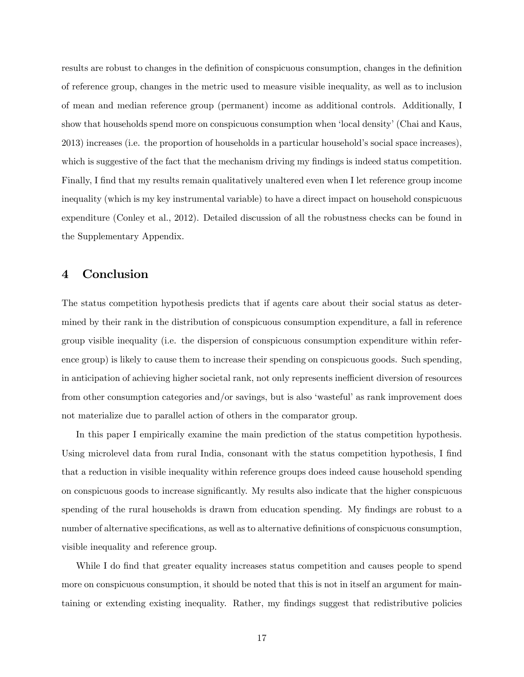results are robust to changes in the definition of conspicuous consumption, changes in the definition of reference group, changes in the metric used to measure visible inequality, as well as to inclusion of mean and median reference group (permanent) income as additional controls. Additionally, I show that households spend more on conspicuous consumption when 'local density' (Chai and Kaus, 2013) increases (i.e. the proportion of households in a particular household's social space increases), which is suggestive of the fact that the mechanism driving my findings is indeed status competition. Finally, I find that my results remain qualitatively unaltered even when I let reference group income inequality (which is my key instrumental variable) to have a direct impact on household conspicuous expenditure (Conley et al., 2012). Detailed discussion of all the robustness checks can be found in the Supplementary Appendix.

# 4 Conclusion

The status competition hypothesis predicts that if agents care about their social status as determined by their rank in the distribution of conspicuous consumption expenditure, a fall in reference group visible inequality (i.e. the dispersion of conspicuous consumption expenditure within reference group) is likely to cause them to increase their spending on conspicuous goods. Such spending, in anticipation of achieving higher societal rank, not only represents inefficient diversion of resources from other consumption categories and/or savings, but is also 'wasteful' as rank improvement does not materialize due to parallel action of others in the comparator group.

In this paper I empirically examine the main prediction of the status competition hypothesis. Using microlevel data from rural India, consonant with the status competition hypothesis, I find that a reduction in visible inequality within reference groups does indeed cause household spending on conspicuous goods to increase significantly. My results also indicate that the higher conspicuous spending of the rural households is drawn from education spending. My findings are robust to a number of alternative specifications, as well as to alternative definitions of conspicuous consumption, visible inequality and reference group.

While I do find that greater equality increases status competition and causes people to spend more on conspicuous consumption, it should be noted that this is not in itself an argument for maintaining or extending existing inequality. Rather, my findings suggest that redistributive policies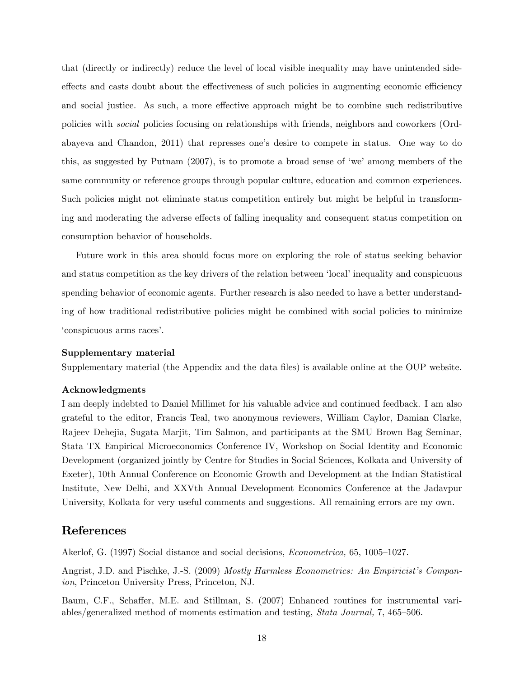that (directly or indirectly) reduce the level of local visible inequality may have unintended sideeffects and casts doubt about the effectiveness of such policies in augmenting economic efficiency and social justice. As such, a more effective approach might be to combine such redistributive policies with social policies focusing on relationships with friends, neighbors and coworkers (Ordabayeva and Chandon, 2011) that represses one's desire to compete in status. One way to do this, as suggested by Putnam  $(2007)$ , is to promote a broad sense of 'we' among members of the same community or reference groups through popular culture, education and common experiences. Such policies might not eliminate status competition entirely but might be helpful in transforming and moderating the adverse effects of falling inequality and consequent status competition on consumption behavior of households.

Future work in this area should focus more on exploring the role of status seeking behavior and status competition as the key drivers of the relation between 'local' inequality and conspicuous spending behavior of economic agents. Further research is also needed to have a better understanding of how traditional redistributive policies might be combined with social policies to minimize ëconspicuous arms racesí.

#### Supplementary material

Supplementary material (the Appendix and the data files) is available online at the OUP website.

#### Acknowledgments

I am deeply indebted to Daniel Millimet for his valuable advice and continued feedback. I am also grateful to the editor, Francis Teal, two anonymous reviewers, William Caylor, Damian Clarke, Rajeev Dehejia, Sugata Marjit, Tim Salmon, and participants at the SMU Brown Bag Seminar, Stata TX Empirical Microeconomics Conference IV, Workshop on Social Identity and Economic Development (organized jointly by Centre for Studies in Social Sciences, Kolkata and University of Exeter), 10th Annual Conference on Economic Growth and Development at the Indian Statistical Institute, New Delhi, and XXVth Annual Development Economics Conference at the Jadavpur University, Kolkata for very useful comments and suggestions. All remaining errors are my own.

## References

Akerlof, G.  $(1997)$  Social distance and social decisions, *Econometrica*, 65, 1005–1027.

Angrist, J.D. and Pischke, J.-S. (2009) Mostly Harmless Econometrics: An Empiricist's Companion, Princeton University Press, Princeton, NJ.

Baum, C.F., Schaffer, M.E. and Stillman, S. (2007) Enhanced routines for instrumental variables/generalized method of moments estimation and testing,  $Stata\ Journal$ , 7, 465–506.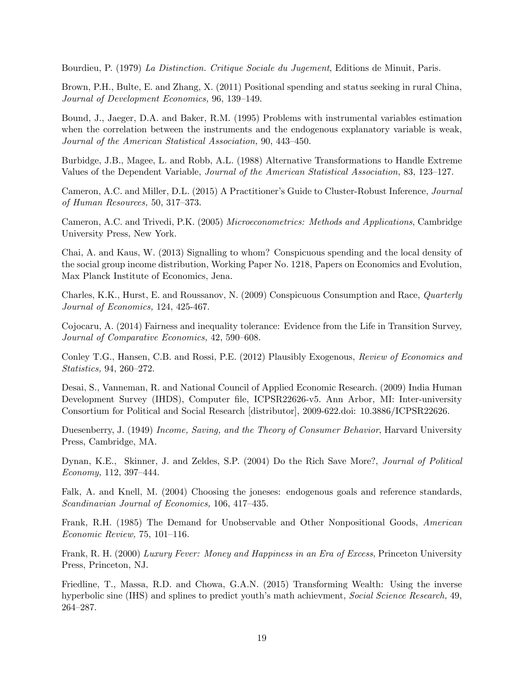Bourdieu, P. (1979) La Distinction. Critique Sociale du Jugement, Editions de Minuit, Paris.

Brown, P.H., Bulte, E. and Zhang, X. (2011) Positional spending and status seeking in rural China, Journal of Development Economics, 96, 139–149.

Bound, J., Jaeger, D.A. and Baker, R.M. (1995) Problems with instrumental variables estimation when the correlation between the instruments and the endogenous explanatory variable is weak, Journal of the American Statistical Association, 90, 443-450.

Burbidge, J.B., Magee, L. and Robb, A.L. (1988) Alternative Transformations to Handle Extreme Values of the Dependent Variable, *Journal of the American Statistical Association*, 83, 123–127.

Cameron, A.C. and Miller, D.L. (2015) A Practitioner's Guide to Cluster-Robust Inference, Journal of Human Resources, 50, 317–373.

Cameron, A.C. and Trivedi, P.K. (2005) Microeconometrics: Methods and Applications, Cambridge University Press, New York.

Chai, A. and Kaus, W. (2013) Signalling to whom? Conspicuous spending and the local density of the social group income distribution, Working Paper No. 1218, Papers on Economics and Evolution, Max Planck Institute of Economics, Jena.

Charles, K.K., Hurst, E. and Roussanov, N. (2009) Conspicuous Consumption and Race, Quarterly Journal of Economics, 124, 425-467.

Cojocaru, A. (2014) Fairness and inequality tolerance: Evidence from the Life in Transition Survey, Journal of Comparative Economics, 42, 590-608.

Conley T.G., Hansen, C.B. and Rossi, P.E. (2012) Plausibly Exogenous, Review of Economics and  $Statistics, 94, 260 - 272.$ 

Desai, S., Vanneman, R. and National Council of Applied Economic Research. (2009) India Human Development Survey (IHDS), Computer file, ICPSR22626-v5. Ann Arbor, MI: Inter-university Consortium for Political and Social Research [distributor], 2009-622.doi: 10.3886/ICPSR22626.

Duesenberry, J. (1949) Income, Saving, and the Theory of Consumer Behavior, Harvard University Press, Cambridge, MA.

Dynan, K.E., Skinner, J. and Zeldes, S.P. (2004) Do the Rich Save More?, *Journal of Political*  $Economy, 112, 397-444.$ 

Falk, A. and Knell, M. (2004) Choosing the joneses: endogenous goals and reference standards, Scandinavian Journal of Economics, 106, 417-435.

Frank, R.H. (1985) The Demand for Unobservable and Other Nonpositional Goods, American  $Economic$  Review, 75, 101-116.

Frank, R. H. (2000) Luxury Fever: Money and Happiness in an Era of Excess, Princeton University Press, Princeton, NJ.

Friedline, T., Massa, R.D. and Chowa, G.A.N. (2015) Transforming Wealth: Using the inverse hyperbolic sine (IHS) and splines to predict youth's math achievment, Social Science Research, 49, 264-287.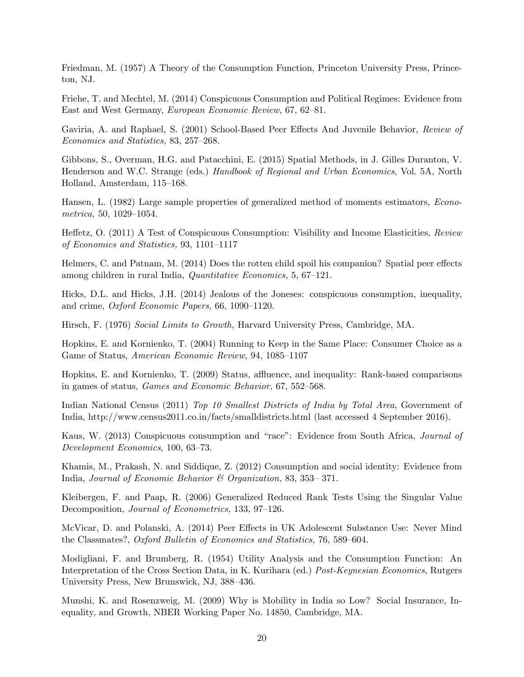Friedman, M. (1957) A Theory of the Consumption Function, Princeton University Press, Princeton, NJ.

Friehe, T. and Mechtel, M. (2014) Conspicuous Consumption and Political Regimes: Evidence from East and West Germany, European Economic Review, 67, 62–81.

Gaviria, A. and Raphael, S. (2001) School-Based Peer Effects And Juvenile Behavior, Review of Economics and Statistics, 83, 257-268.

Gibbons, S., Overman, H.G. and Patacchini, E. (2015) Spatial Methods, in J. Gilles Duranton, V. Henderson and W.C. Strange (eds.) Handbook of Regional and Urban Economics, Vol. 5A, North Holland, Amsterdam, 115–168.

Hansen, L. (1982) Large sample properties of generalized method of moments estimators, Econometrica, 50, 1029–1054.

Heffetz, O. (2011) A Test of Conspicuous Consumption: Visibility and Income Elasticities, Review of Economics and Statistics, 93, 1101-1117

Helmers, C. and Patnam, M. (2014) Does the rotten child spoil his companion? Spatial peer effects among children in rural India, *Quantitative Economics*,  $5, 67-121$ .

Hicks, D.L. and Hicks, J.H. (2014) Jealous of the Joneses: conspicuous consumption, inequality, and crime, *Oxford Economic Papers*,  $66, 1090-1120$ .

Hirsch, F. (1976) Social Limits to Growth, Harvard University Press, Cambridge, MA.

Hopkins, E. and Kornienko, T. (2004) Running to Keep in the Same Place: Consumer Choice as a Game of Status, American Economic Review, 94, 1085–1107

Hopkins, E. and Kornienko, T. (2009) Status, affluence, and inequality: Rank-based comparisons in games of status, *Games and Economic Behavior*, 67, 552–568.

Indian National Census (2011) Top 10 Smallest Districts of India by Total Area, Government of India, http://www.census2011.co.in/facts/smalldistricts.html (last accessed 4 September 2016).

Kaus, W. (2013) Conspicuous consumption and "race": Evidence from South Africa, *Journal of* Development Economics,  $100, 63-73$ .

Khamis, M., Prakash, N. and Siddique, Z. (2012) Consumption and social identity: Evidence from India, Journal of Economic Behavior  $\mathcal C$  Organization, 83, 353–371.

Kleibergen, F. and Paap, R. (2006) Generalized Reduced Rank Tests Using the Singular Value Decomposition, Journal of Econometrics, 133, 97-126.

McVicar, D. and Polanski, A. (2014) Peer Effects in UK Adolescent Substance Use: Never Mind the Classmates?, Oxford Bulletin of Economics and Statistics, 76, 589–604.

Modigliani, F. and Brumberg, R. (1954) Utility Analysis and the Consumption Function: An Interpretation of the Cross Section Data, in K. Kurihara (ed.) Post-Keynesian Economics, Rutgers University Press, New Brunswick, NJ, 388–436.

Munshi, K. and Rosenzweig, M. (2009) Why is Mobility in India so Low? Social Insurance, Inequality, and Growth, NBER Working Paper No. 14850, Cambridge, MA.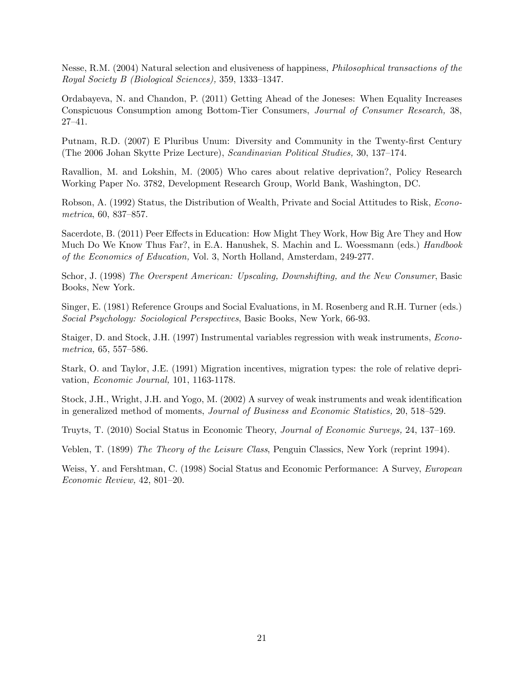Nesse, R.M. (2004) Natural selection and elusiveness of happiness, Philosophical transactions of the Royal Society B (Biological Sciences), 359, 1333-1347.

Ordabayeva, N. and Chandon, P. (2011) Getting Ahead of the Joneses: When Equality Increases Conspicuous Consumption among Bottom-Tier Consumers, Journal of Consumer Research, 38,  $27 - 41.$ 

Putnam, R.D. (2007) E Pluribus Unum: Diversity and Community in the Twenty-first Century (The 2006 Johan Skytte Prize Lecture), *Scandinavian Political Studies*, 30, 137–174.

Ravallion, M. and Lokshin, M. (2005) Who cares about relative deprivation?, Policy Research Working Paper No. 3782, Development Research Group, World Bank, Washington, DC.

Robson, A. (1992) Status, the Distribution of Wealth, Private and Social Attitudes to Risk, Econo $metrica, 60, 837-857.$ 

Sacerdote, B. (2011) Peer Effects in Education: How Might They Work, How Big Are They and How Much Do We Know Thus Far?, in E.A. Hanushek, S. Machin and L. Woessmann (eds.) Handbook of the Economics of Education, Vol. 3, North Holland, Amsterdam, 249-277.

Schor, J. (1998) The Overspent American: Upscaling, Downshifting, and the New Consumer, Basic Books, New York.

Singer, E. (1981) Reference Groups and Social Evaluations, in M. Rosenberg and R.H. Turner (eds.) Social Psychology: Sociological Perspectives, Basic Books, New York, 66-93.

Staiger, D. and Stock, J.H. (1997) Instrumental variables regression with weak instruments, Econo $metrica, 65, 557–586.$ 

Stark, O. and Taylor, J.E. (1991) Migration incentives, migration types: the role of relative deprivation, Economic Journal, 101, 1163-1178.

Stock, J.H., Wright, J.H. and Yogo, M. (2002) A survey of weak instruments and weak identification in generalized method of moments, Journal of Business and Economic Statistics, 20, 518–529.

Truyts, T. (2010) Social Status in Economic Theory, Journal of Economic Surveys, 24, 137–169.

Veblen, T. (1899) The Theory of the Leisure Class, Penguin Classics, New York (reprint 1994).

Weiss, Y. and Fershtman, C. (1998) Social Status and Economic Performance: A Survey, *European*  $Economic$  Review, 42, 801-20.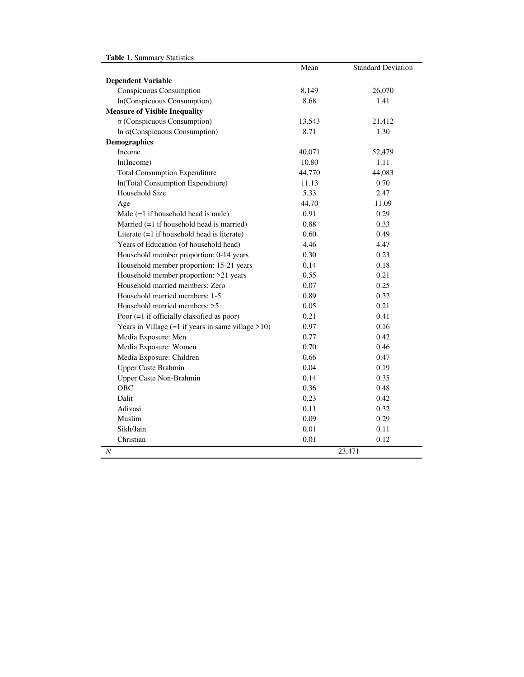|                                                         | Mean   | <b>Standard Deviation</b> |
|---------------------------------------------------------|--------|---------------------------|
| <b>Dependent Variable</b>                               |        |                           |
| Conspicuous Consumption                                 | 8,149  | 26,070                    |
| In(Conspicuous Consumption)                             | 8.68   | 1.41                      |
| <b>Measure of Visible Inequality</b>                    |        |                           |
| $\sigma$ (Conspicuous Consumption)                      | 13,543 | 21,412                    |
| In $\sigma$ (Conspicuous Consumption)                   | 8.71   | 1.30                      |
| <b>Demographics</b>                                     |        |                           |
| Income                                                  | 40,071 | 52,479                    |
| ln(Income)                                              | 10.80  | 1.11                      |
| <b>Total Consumption Expenditure</b>                    | 44,770 | 44,083                    |
| In(Total Consumption Expenditure)                       | 11.13  | 0.70                      |
| Household Size                                          | 5.33   | 2.47                      |
| Age                                                     | 44.70  | 11.09                     |
| Male $(=1$ if household head is male)                   | 0.91   | 0.29                      |
| Married (=1 if household head is married)               | 0.88   | 0.33                      |
| Literate (=1 if household head is literate)             | 0.60   | 0.49                      |
| Years of Education (of household head)                  | 4.46   | 4.47                      |
| Household member proportion: 0-14 years                 | 0.30   | 0.23                      |
| Household member proportion: 15-21 years                | 0.14   | 0.18                      |
| Household member proportion: >21 years                  | 0.55   | 0.21                      |
| Household married members: Zero                         | 0.07   | 0.25                      |
| Household married members: 1-5                          | 0.89   | 0.32                      |
| Household married members: >5                           | 0.05   | 0.21                      |
| Poor $(=1$ if officially classified as poor)            | 0.21   | 0.41                      |
| Years in Village $(=1$ if years in same village $>10$ ) | 0.97   | 0.16                      |
| Media Exposure: Men                                     | 0.77   | 0.42                      |
| Media Exposure: Women                                   | 0.70   | 0.46                      |
| Media Exposure: Children                                | 0.66   | 0.47                      |
| Upper Caste Brahmin                                     | 0.04   | 0.19                      |
| Upper Caste Non-Brahmin                                 | 0.14   | 0.35                      |
| OBC                                                     | 0.36   | 0.48                      |
| Dalit                                                   | 0.23   | 0.42                      |
| Adivasi                                                 | 0.11   | 0.32                      |
| Muslim                                                  | 0.09   | 0.29                      |
| Sikh/Jain                                               | 0.01   | 0.11                      |
| Christian                                               | 0.01   | 0.12                      |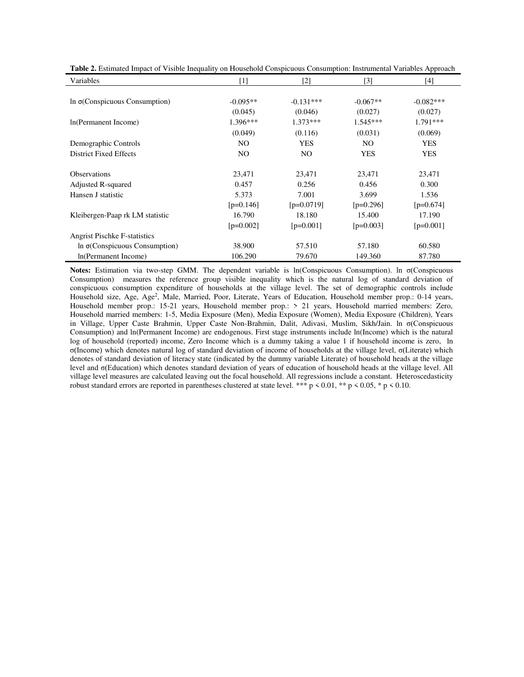| Variables                             | [1]            | [2]          | $\lceil 3 \rceil$ | $[4]$       |
|---------------------------------------|----------------|--------------|-------------------|-------------|
|                                       |                |              |                   |             |
| In $\sigma$ (Conspicuous Consumption) | $-0.095**$     | $-0.131***$  | $-0.067**$        | $-0.082***$ |
|                                       | (0.045)        | (0.046)      | (0.027)           | (0.027)     |
| In(Permanent Income)                  | $1.396***$     | $1.373***$   | $1.545***$        | 1.791***    |
|                                       | (0.049)        | (0.116)      | (0.031)           | (0.069)     |
| Demographic Controls                  | NO.            | <b>YES</b>   | NO.               | <b>YES</b>  |
| <b>District Fixed Effects</b>         | N <sub>O</sub> | NO.          | <b>YES</b>        | <b>YES</b>  |
|                                       |                |              |                   |             |
| <b>Observations</b>                   | 23,471         | 23,471       | 23,471            | 23,471      |
| Adjusted R-squared                    | 0.457          | 0.256        | 0.456             | 0.300       |
| Hansen J statistic                    | 5.373          | 7.001        | 3.699             | 1.536       |
|                                       | $[p=0.146]$    | $[p=0.0719]$ | $[p=0.296]$       | $[p=0.674]$ |
| Kleibergen-Paap rk LM statistic       | 16.790         | 18.180       | 15.400            | 17.190      |
|                                       | $[p=0.002]$    | $[p=0.001]$  | $[p=0.003]$       | $[p=0.001]$ |
| <b>Angrist Pischke F-statistics</b>   |                |              |                   |             |
| In $\sigma$ (Conspicuous Consumption) | 38.900         | 57.510       | 57.180            | 60.580      |
| In(Permanent Income)                  | 106.290        | 79.670       | 149.360           | 87.780      |

**Table 2.** Estimated Impact of Visible Inequality on Household Conspicuous Consumption: Instrumental Variables Approach

**Notes:** Estimation via two-step GMM. The dependent variable is ln(Conspicuous Consumption). ln σ(Conspicuous Consumption) measures the reference group visible inequality which is the natural log of standard deviation of conspicuous consumption expenditure of households at the village level. The set of demographic controls include Household size, Age, Age<sup>2</sup>, Male, Married, Poor, Literate, Years of Education, Household member prop.: 0-14 years, Household member prop.: 15-21 years, Household member prop.: > 21 years, Household married members: Zero, Household married members: 1-5, Media Exposure (Men), Media Exposure (Women), Media Exposure (Children), Years in Village, Upper Caste Brahmin, Upper Caste Non-Brahmin, Dalit, Adivasi, Muslim, Sikh/Jain. ln σ(Conspicuous Consumption) and ln(Permanent Income) are endogenous. First stage instruments include ln(Income) which is the natural log of household (reported) income, Zero Income which is a dummy taking a value 1 if household income is zero, ln σ(Income) which denotes natural log of standard deviation of income of households at the village level, σ(Literate) which denotes of standard deviation of literacy state (indicated by the dummy variable Literate) of household heads at the village level and σ(Education) which denotes standard deviation of years of education of household heads at the village level. All village level measures are calculated leaving out the focal household. All regressions include a constant. Heteroscedasticity robust standard errors are reported in parentheses clustered at state level. \*\*\*  $p \le 0.01$ , \*\*  $p \le 0.05$ , \*  $p \le 0.10$ .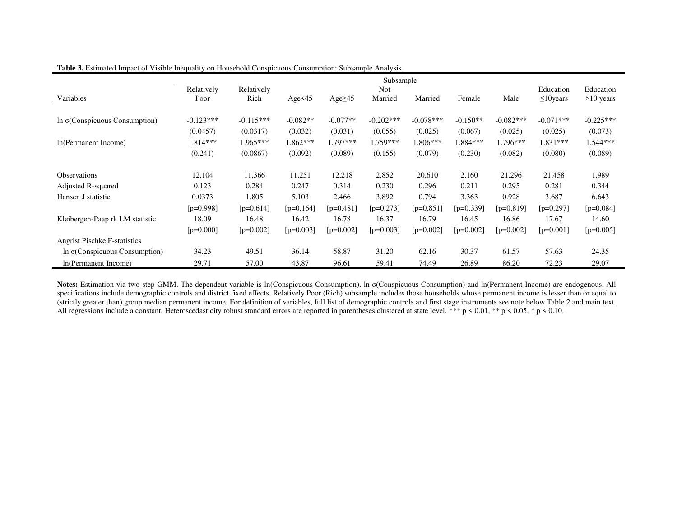|                                     | Subsample   |             |               |               |             |             |             |             |                 |             |
|-------------------------------------|-------------|-------------|---------------|---------------|-------------|-------------|-------------|-------------|-----------------|-------------|
|                                     | Relatively  | Relatively  |               |               | <b>Not</b>  |             |             |             | Education       | Education   |
| Variables                           | Poor        | Rich        | Age $\leq$ 45 | Age $\geq$ 45 | Married     | Married     | Female      | Male        | $\leq$ 10 years | $>10$ years |
|                                     |             |             |               |               |             |             |             |             |                 |             |
| $ln σ$ (Conspicuous Consumption)    | $-0.123***$ | $-0.115***$ | $-0.082**$    | $-0.077**$    | $-0.202***$ | $-0.078***$ | $-0.150**$  | $-0.082***$ | $-0.071***$     | $-0.225***$ |
|                                     | (0.0457)    | (0.0317)    | (0.032)       | (0.031)       | (0.055)     | (0.025)     | (0.067)     | (0.025)     | (0.025)         | (0.073)     |
| In(Permanent Income)                | 1.814***    | 1.965***    | $.862***$     | 1.797***      | 1.759***    | 1.806***    | 1.884***    | 1.796***    | 1.831***        | 1.544***    |
|                                     | (0.241)     | (0.0867)    | (0.092)       | (0.089)       | (0.155)     | (0.079)     | (0.230)     | (0.082)     | (0.080)         | (0.089)     |
|                                     |             |             |               |               |             |             |             |             |                 |             |
| <b>Observations</b>                 | 12,104      | 11,366      | 11,251        | 12,218        | 2,852       | 20,610      | 2,160       | 21,296      | 21,458          | 1,989       |
| Adjusted R-squared                  | 0.123       | 0.284       | 0.247         | 0.314         | 0.230       | 0.296       | 0.211       | 0.295       | 0.281           | 0.344       |
| Hansen J statistic                  | 0.0373      | 1.805       | 5.103         | 2.466         | 3.892       | 0.794       | 3.363       | 0.928       | 3.687           | 6.643       |
|                                     | $[p=0.998]$ | $[p=0.614]$ | $[p=0.164]$   | $[p=0.481]$   | $[p=0.273]$ | $[p=0.851]$ | $[p=0.339]$ | $[p=0.819]$ | $[p=0.297]$     | $[p=0.084]$ |
| Kleibergen-Paap rk LM statistic     | 18.09       | 16.48       | 16.42         | 16.78         | 16.37       | 16.79       | 16.45       | 16.86       | 17.67           | 14.60       |
|                                     | $[p=0.000]$ | $[p=0.002]$ | $[p=0.003]$   | $[p=0.002]$   | $[p=0.003]$ | $[p=0.002]$ | $[p=0.002]$ | $[p=0.002]$ | $[p=0.001]$     | $[p=0.005]$ |
| <b>Angrist Pischke F-statistics</b> |             |             |               |               |             |             |             |             |                 |             |
| $ln σ$ (Conspicuous Consumption)    | 34.23       | 49.51       | 36.14         | 58.87         | 31.20       | 62.16       | 30.37       | 61.57       | 57.63           | 24.35       |
| In(Permanent Income)                | 29.71       | 57.00       | 43.87         | 96.61         | 59.41       | 74.49       | 26.89       | 86.20       | 72.23           | 29.07       |

**Table 3.** Estimated Impact of Visible Inequality on Household Conspicuous Consumption: Subsample Analysis

**Notes:** Estimation via two-step GMM. The dependent variable is ln(Conspicuous Consumption). ln σ(Conspicuous Consumption) and ln(Permanent Income) are endogenous. All specifications include demographic controls and district fixed effects. Relatively Poor (Rich) subsample includes those households whose permanent income is lesser than or equal to (strictly greater than) group median permanent income. For definition of variables, full list of demographic controls and first stage instruments see note below Table 2 and main text. All regressions include a constant. Heteroscedasticity robust standard errors are reported in parentheses clustered at state level. \*\*\* p < 0.01, \*\* p < 0.05, \* p < 0.10.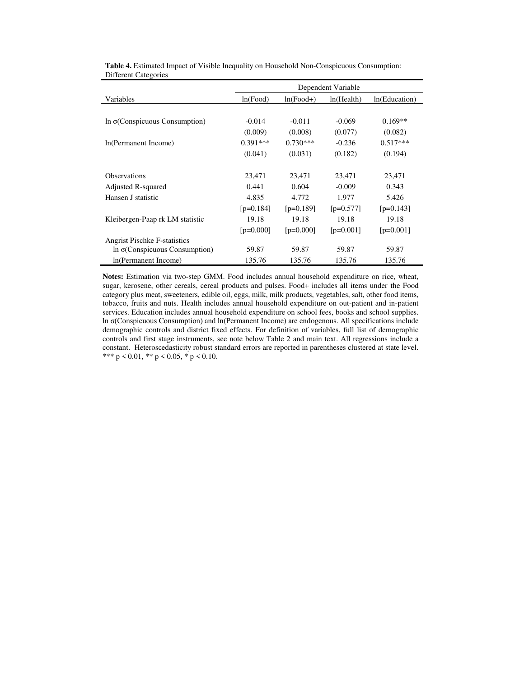|                                     | Dependent Variable |             |             |               |  |
|-------------------------------------|--------------------|-------------|-------------|---------------|--|
| Variables                           | ln(Food)           | $ln(Food+)$ | ln(Health)  | ln(Education) |  |
|                                     |                    |             |             |               |  |
| $ln σ$ (Conspicuous Consumption)    | $-0.014$           | $-0.011$    | $-0.069$    | $0.169**$     |  |
|                                     | (0.009)            | (0.008)     | (0.077)     | (0.082)       |  |
| In(Permanent Income)                | $0.391***$         | $0.730***$  | $-0.236$    | $0.517***$    |  |
|                                     | (0.041)            | (0.031)     | (0.182)     | (0.194)       |  |
|                                     |                    |             |             |               |  |
| <b>Observations</b>                 | 23,471             | 23.471      | 23.471      | 23,471        |  |
| Adjusted R-squared                  | 0.441              | 0.604       | $-0.009$    | 0.343         |  |
| Hansen J statistic                  | 4.835              | 4.772       | 1.977       | 5.426         |  |
|                                     | $[p=0.184]$        | $[p=0.189]$ | $[p=0.577]$ | $[p=0.143]$   |  |
| Kleibergen-Paap rk LM statistic     | 19.18              | 19.18       | 19.18       | 19.18         |  |
|                                     | $[p=0.000]$        | $[p=0.000]$ | $[p=0.001]$ | $[p=0.001]$   |  |
| <b>Angrist Pischke F-statistics</b> |                    |             |             |               |  |
| $ln σ$ (Conspicuous Consumption)    | 59.87              | 59.87       | 59.87       | 59.87         |  |
| In(Permanent Income)                | 135.76             | 135.76      | 135.76      | 135.76        |  |

**Table 4.** Estimated Impact of Visible Inequality on Household Non-Conspicuous Consumption: Different Categories

**Notes:** Estimation via two-step GMM. Food includes annual household expenditure on rice, wheat, sugar, kerosene, other cereals, cereal products and pulses. Food+ includes all items under the Food category plus meat, sweeteners, edible oil, eggs, milk, milk products, vegetables, salt, other food items, tobacco, fruits and nuts. Health includes annual household expenditure on out-patient and in-patient services. Education includes annual household expenditure on school fees, books and school supplies. ln σ(Conspicuous Consumption) and ln(Permanent Income) are endogenous. All specifications include demographic controls and district fixed effects. For definition of variables, full list of demographic controls and first stage instruments, see note below Table 2 and main text. All regressions include a constant. Heteroscedasticity robust standard errors are reported in parentheses clustered at state level. \*\*\* p < 0.01, \*\* p < 0.05, \* p < 0.10.

j.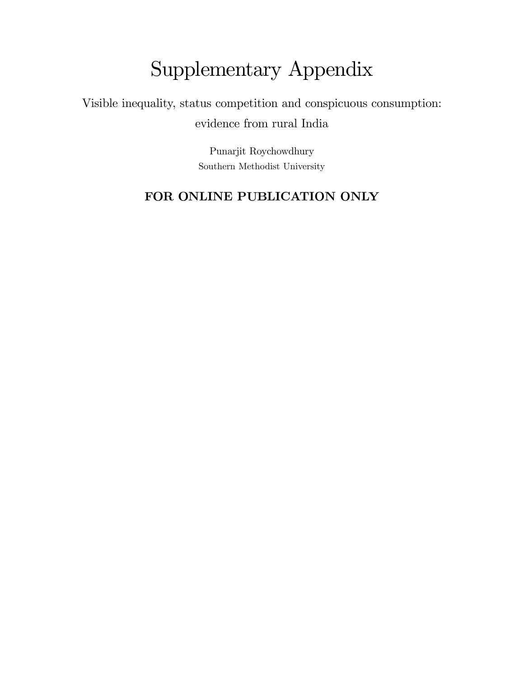# Supplementary Appendix

Visible inequality, status competition and conspicuous consumption: evidence from rural India

> Punarjit Roychowdhury Southern Methodist University

# FOR <sup>O</sup>NLINE PUBLICATION <sup>O</sup>NL<sup>Y</sup>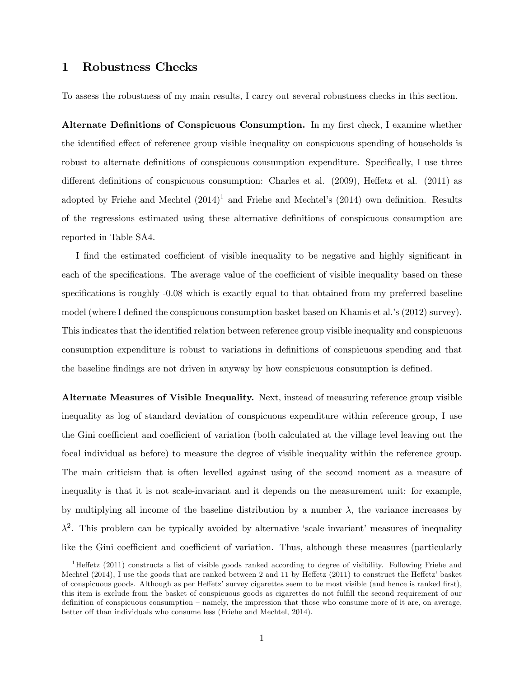# 1 Robustness Checks

To assess the robustness of my main results, I carry out several robustness checks in this section.

Alternate Definitions of Conspicuous Consumption. In my first check, I examine whether the identified effect of reference group visible inequality on conspicuous spending of households is robust to alternate definitions of conspicuous consumption expenditure. Specifically, I use three different definitions of conspicuous consumption: Charles et al.  $(2009)$ , Heffetz et al.  $(2011)$  as adopted by Friehe and Mechtel  $(2014)^1$  and Friehe and Mechtel's  $(2014)$  own definition. Results of the regressions estimated using these alternative definitions of conspicuous consumption are reported in Table SA4.

I find the estimated coefficient of visible inequality to be negative and highly significant in each of the specifications. The average value of the coefficient of visible inequality based on these specifications is roughly -0.08 which is exactly equal to that obtained from my preferred baseline model (where I defined the conspicuous consumption basket based on Khamis et al.'s (2012) survey). This indicates that the identified relation between reference group visible inequality and conspicuous consumption expenditure is robust to variations in definitions of conspicuous spending and that the baseline findings are not driven in anyway by how conspicuous consumption is defined.

Alternate Measures of Visible Inequality. Next, instead of measuring reference group visible inequality as log of standard deviation of conspicuous expenditure within reference group, I use the Gini coefficient and coefficient of variation (both calculated at the village level leaving out the focal individual as before) to measure the degree of visible inequality within the reference group. The main criticism that is often levelled against using of the second moment as a measure of inequality is that it is not scale-invariant and it depends on the measurement unit: for example, by multiplying all income of the baseline distribution by a number  $\lambda$ , the variance increases by  $\lambda^2$ . This problem can be typically avoided by alternative 'scale invariant' measures of inequality like the Gini coefficient and coefficient of variation. Thus, although these measures (particularly

<sup>&</sup>lt;sup>1</sup>Heffetz (2011) constructs a list of visible goods ranked according to degree of visibility. Following Friehe and Mechtel  $(2014)$ , I use the goods that are ranked between 2 and 11 by Heffetz  $(2011)$  to construct the Heffetz' basket of conspicuous goods. Although as per Heffetz' survey cigarettes seem to be most visible (and hence is ranked first), this item is exclude from the basket of conspicuous goods as cigarettes do not fulfill the second requirement of our definition of conspicuous consumption  $-$  namely, the impression that those who consume more of it are, on average, better off than individuals who consume less (Friehe and Mechtel, 2014).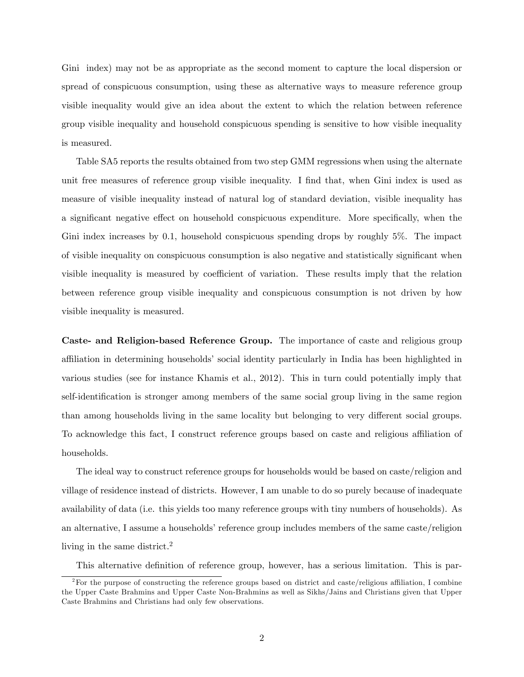Gini index) may not be as appropriate as the second moment to capture the local dispersion or spread of conspicuous consumption, using these as alternative ways to measure reference group visible inequality would give an idea about the extent to which the relation between reference group visible inequality and household conspicuous spending is sensitive to how visible inequality is measured.

Table SA5 reports the results obtained from two step GMM regressions when using the alternate unit free measures of reference group visible inequality. I find that, when Gini index is used as measure of visible inequality instead of natural log of standard deviation, visible inequality has a significant negative effect on household conspicuous expenditure. More specifically, when the Gini index increases by 0.1, household conspicuous spending drops by roughly 5%. The impact of visible inequality on conspicuous consumption is also negative and statistically significant when visible inequality is measured by coefficient of variation. These results imply that the relation between reference group visible inequality and conspicuous consumption is not driven by how visible inequality is measured.

Caste- and Religion-based Reference Group. The importance of caste and religious group affiliation in determining households' social identity particularly in India has been highlighted in various studies (see for instance Khamis et al., 2012). This in turn could potentially imply that self-identification is stronger among members of the same social group living in the same region than among households living in the same locality but belonging to very different social groups. To acknowledge this fact, I construct reference groups based on caste and religious a¢liation of households.

The ideal way to construct reference groups for households would be based on caste/religion and village of residence instead of districts. However, I am unable to do so purely because of inadequate availability of data (i.e. this yields too many reference groups with tiny numbers of households). As an alternative, I assume a households' reference group includes members of the same caste/religion living in the same district.<sup>2</sup>

This alternative definition of reference group, however, has a serious limitation. This is par-

<sup>&</sup>lt;sup>2</sup>For the purpose of constructing the reference groups based on district and caste/religious affiliation, I combine the Upper Caste Brahmins and Upper Caste Non-Brahmins as well as Sikhs/Jains and Christians given that Upper Caste Brahmins and Christians had only few observations.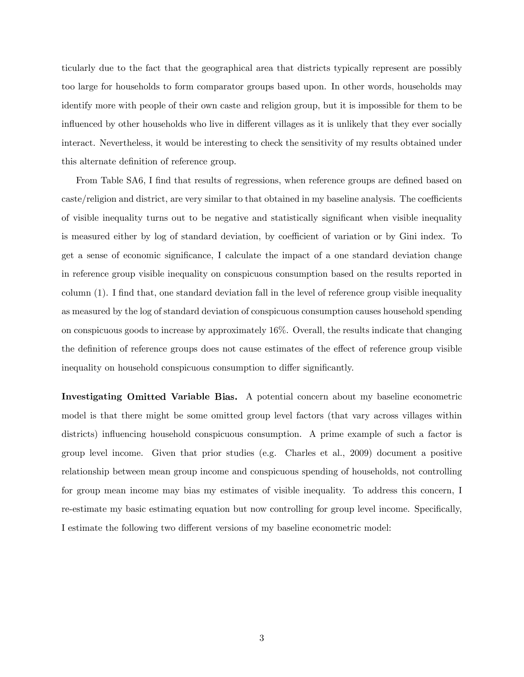ticularly due to the fact that the geographical area that districts typically represent are possibly too large for households to form comparator groups based upon. In other words, households may identify more with people of their own caste and religion group, but it is impossible for them to be influenced by other households who live in different villages as it is unlikely that they ever socially interact. Nevertheless, it would be interesting to check the sensitivity of my results obtained under this alternate definition of reference group.

From Table SA6, I find that results of regressions, when reference groups are defined based on caste/religion and district, are very similar to that obtained in my baseline analysis. The coefficients of visible inequality turns out to be negative and statistically significant when visible inequality is measured either by log of standard deviation, by coefficient of variation or by Gini index. To get a sense of economic significance, I calculate the impact of a one standard deviation change in reference group visible inequality on conspicuous consumption based on the results reported in column  $(1)$ . I find that, one standard deviation fall in the level of reference group visible inequality as measured by the log of standard deviation of conspicuous consumption causes household spending on conspicuous goods to increase by approximately 16%. Overall, the results indicate that changing the definition of reference groups does not cause estimates of the effect of reference group visible inequality on household conspicuous consumption to differ significantly.

Investigating Omitted Variable Bias. A potential concern about my baseline econometric model is that there might be some omitted group level factors (that vary across villages within districts) influencing household conspicuous consumption. A prime example of such a factor is group level income. Given that prior studies (e.g. Charles et al., 2009) document a positive relationship between mean group income and conspicuous spending of households, not controlling for group mean income may bias my estimates of visible inequality. To address this concern, I re-estimate my basic estimating equation but now controlling for group level income. Specifically, I estimate the following two different versions of my baseline econometric model: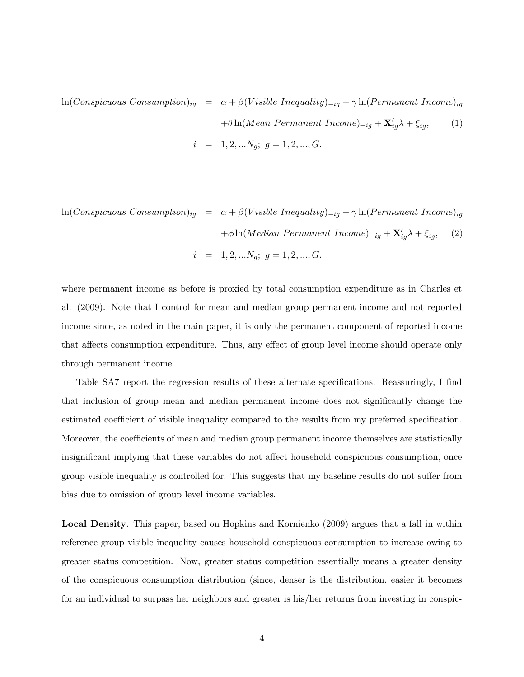$\ln(Conspicuous\ Community)_{ig} = \alpha + \beta(Visible\ Inequality)_{-ig} + \gamma \ln(Permanent\ Income)_{ig}$  $+\theta \ln(Mean\,\,Permanent\,\,Income)_{-ig} + \mathbf{X}'_{ig}\lambda + \xi_{ig},$  (1)  $i = 1, 2, ...N_q; \ g = 1, 2, ..., G.$ 

 $\ln(Conspicuous\ Community)_{ig} = \alpha + \beta(Visible\ Inequality)_{-ig} + \gamma \ln(Permanent\ Income)_{ig}$  $+\phi \ln(Median\ Permanent\ Income)_{-ig} + \mathbf{X}_{ig}'\lambda + \xi_{ig},$  (2)  $i = 1, 2, \ldots N_g; \; q = 1, 2, \ldots, G.$ 

where permanent income as before is proxied by total consumption expenditure as in Charles et al. (2009). Note that I control for mean and median group permanent income and not reported income since, as noted in the main paper, it is only the permanent component of reported income that affects consumption expenditure. Thus, any effect of group level income should operate only through permanent income.

Table SA7 report the regression results of these alternate specifications. Reassuringly, I find that inclusion of group mean and median permanent income does not significantly change the estimated coefficient of visible inequality compared to the results from my preferred specification. Moreover, the coefficients of mean and median group permanent income themselves are statistically insignificant implying that these variables do not affect household conspicuous consumption, once group visible inequality is controlled for. This suggests that my baseline results do not suffer from bias due to omission of group level income variables.

Local Density. This paper, based on Hopkins and Kornienko (2009) argues that a fall in within reference group visible inequality causes household conspicuous consumption to increase owing to greater status competition. Now, greater status competition essentially means a greater density of the conspicuous consumption distribution (since, denser is the distribution, easier it becomes for an individual to surpass her neighbors and greater is his/her returns from investing in conspic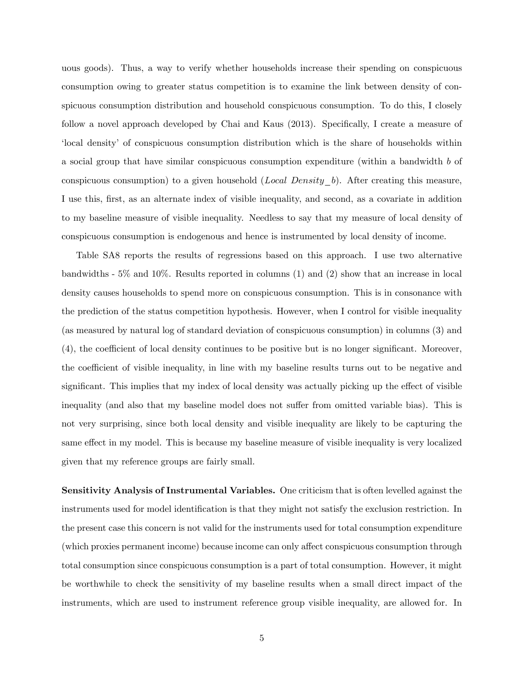uous goods). Thus, a way to verify whether households increase their spending on conspicuous consumption owing to greater status competition is to examine the link between density of conspicuous consumption distribution and household conspicuous consumption. To do this, I closely follow a novel approach developed by Chai and Kaus (2013). Specifically, I create a measure of ëlocal densityí of conspicuous consumption distribution which is the share of households within a social group that have similar conspicuous consumption expenditure (within a bandwidth b of conspicuous consumption) to a given household  $(Local Density_b)$ . After creating this measure, I use this, first, as an alternate index of visible inequality, and second, as a covariate in addition to my baseline measure of visible inequality. Needless to say that my measure of local density of conspicuous consumption is endogenous and hence is instrumented by local density of income.

Table SA8 reports the results of regressions based on this approach. I use two alternative bandwidths - 5% and 10%. Results reported in columns (1) and (2) show that an increase in local density causes households to spend more on conspicuous consumption. This is in consonance with the prediction of the status competition hypothesis. However, when I control for visible inequality (as measured by natural log of standard deviation of conspicuous consumption) in columns (3) and  $(4)$ , the coefficient of local density continues to be positive but is no longer significant. Moreover, the coefficient of visible inequality, in line with my baseline results turns out to be negative and significant. This implies that my index of local density was actually picking up the effect of visible inequality (and also that my baseline model does not suffer from omitted variable bias). This is not very surprising, since both local density and visible inequality are likely to be capturing the same effect in my model. This is because my baseline measure of visible inequality is very localized given that my reference groups are fairly small.

**Sensitivity Analysis of Instrumental Variables.** One criticism that is often levelled against the instruments used for model identification is that they might not satisfy the exclusion restriction. In the present case this concern is not valid for the instruments used for total consumption expenditure (which proxies permanent income) because income can only affect conspicuous consumption through total consumption since conspicuous consumption is a part of total consumption. However, it might be worthwhile to check the sensitivity of my baseline results when a small direct impact of the instruments, which are used to instrument reference group visible inequality, are allowed for. In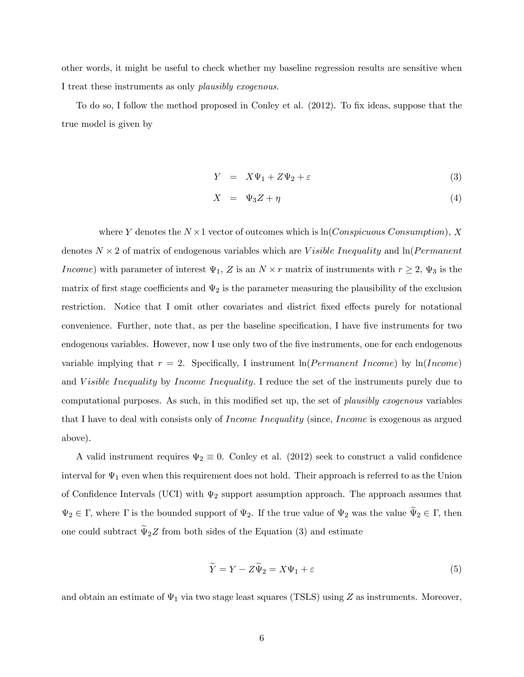other words, it might be useful to check whether my baseline regression results are sensitive when I treat these instruments as only plausibly exogenous.

To do so, I follow the method proposed in Conley et al.  $(2012)$ . To fix ideas, suppose that the true model is given by

$$
Y = X\Psi_1 + Z\Psi_2 + \varepsilon \tag{3}
$$

$$
X = \Psi_3 Z + \eta \tag{4}
$$

where Y denotes the  $N \times 1$  vector of outcomes which is  $\ln(Conspicuous\ Consum_j n_j)$ , X denotes  $N \times 2$  of matrix of endogenous variables which are *Visible Inequality* and  $\ln(Permanent)$ *Income*) with parameter of interest  $\Psi_1$ , Z is an  $N \times r$  matrix of instruments with  $r \geq 2$ ,  $\Psi_3$  is the matrix of first stage coefficients and  $\Psi_2$  is the parameter measuring the plausibility of the exclusion restriction. Notice that I omit other covariates and district fixed effects purely for notational convenience. Further, note that, as per the baseline specification, I have five instruments for two endogenous variables. However, now I use only two of the five instruments, one for each endogenous variable implying that  $r = 2$ . Specifically, I instrument  $\ln(Permanent\ Income)$  by  $\ln(Income)$ and Visible Inequality by Income Inequality. I reduce the set of the instruments purely due to computational purposes. As such, in this modified set up, the set of *plausibly exogenous* variables that I have to deal with consists only of Income Inequality (since, Income is exogenous as argued above).

A valid instrument requires  $\Psi_2 \equiv 0$ . Conley et al. (2012) seek to construct a valid confidence interval for  $\Psi_1$  even when this requirement does not hold. Their approach is referred to as the Union of Confidence Intervals (UCI) with  $\Psi_2$  support assumption approach. The approach assumes that  $\Psi_2 \in \Gamma$ , where  $\Gamma$  is the bounded support of  $\Psi_2$ . If the true value of  $\Psi_2$  was the value  $\widetilde{\Psi}_2 \in \Gamma$ , then one could subtract  $\widetilde{\Psi}_2 Z$  from both sides of the Equation (3) and estimate

$$
\widetilde{Y} = Y - Z\widetilde{\Psi}_2 = X\Psi_1 + \varepsilon\tag{5}
$$

and obtain an estimate of  $\Psi_1$  via two stage least squares (TSLS) using Z as instruments. Moreover,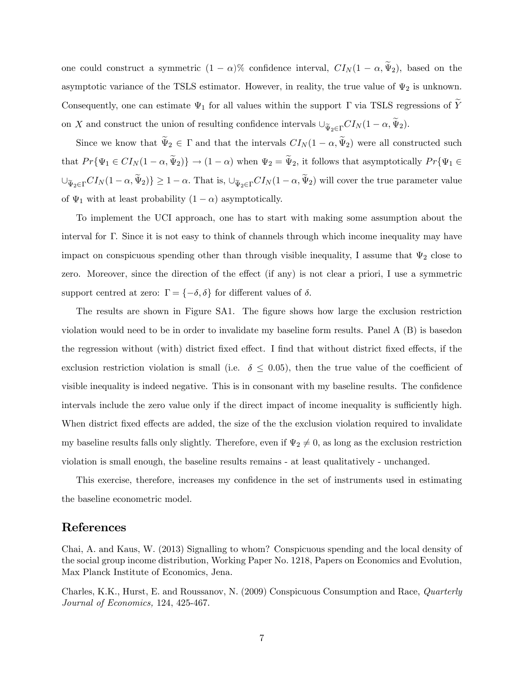one could construct a symmetric  $(1 - \alpha)$ % confidence interval,  $CI_N(1 - \alpha, \tilde{\Psi}_2)$ , based on the asymptotic variance of the TSLS estimator. However, in reality, the true value of  $\Psi_2$  is unknown. Consequently, one can estimate  $\Psi_1$  for all values within the support  $\Gamma$  via TSLS regressions of  $\tilde{Y}$ on X and construct the union of resulting confidence intervals  $\cup_{\widetilde{\Psi}_2 \in \Gamma} CI_N(1-\alpha, \widetilde{\Psi}_2)$ .

Since we know that  $\tilde{\Psi}_2 \in \Gamma$  and that the intervals  $CI_N(1 - \alpha, \tilde{\Psi}_2)$  were all constructed such that  $Pr{\Psi_1 \in CI_N(1-\alpha, \tilde{\Psi}_2)} \rightarrow (1-\alpha)$  when  $\Psi_2 = \tilde{\Psi}_2$ , it follows that asymptotically  $Pr{\Psi_1 \in CI_N(1-\alpha, \tilde{\Psi}_2)}$  $\cup_{\widetilde{\Psi}_2 \in \Gamma} CI_N(1-\alpha, \widetilde{\Psi}_2) \} \ge 1-\alpha$ . That is,  $\cup_{\widetilde{\Psi}_2 \in \Gamma} CI_N(1-\alpha, \widetilde{\Psi}_2)$  will cover the true parameter value of  $\Psi_1$  with at least probability  $(1 - \alpha)$  asymptotically.

To implement the UCI approach, one has to start with making some assumption about the interval for  $\Gamma$ . Since it is not easy to think of channels through which income inequality may have impact on conspicuous spending other than through visible inequality, I assume that  $\Psi_2$  close to zero. Moreover, since the direction of the effect (if any) is not clear a priori, I use a symmetric support centred at zero:  $\Gamma = \{-\delta, \delta\}$  for different values of  $\delta$ .

The results are shown in Figure SA1. The figure shows how large the exclusion restriction violation would need to be in order to invalidate my baseline form results. Panel A (B) is basedon the regression without (with) district fixed effect. I find that without district fixed effects, if the exclusion restriction violation is small (i.e.  $\delta \leq 0.05$ ), then the true value of the coefficient of visible inequality is indeed negative. This is in consonant with my baseline results. The confidence intervals include the zero value only if the direct impact of income inequality is sufficiently high. When district fixed effects are added, the size of the the exclusion violation required to invalidate my baseline results falls only slightly. Therefore, even if  $\Psi_2 \neq 0$ , as long as the exclusion restriction violation is small enough, the baseline results remains - at least qualitatively - unchanged.

This exercise, therefore, increases my confidence in the set of instruments used in estimating the baseline econometric model.

# References

Chai, A. and Kaus, W. (2013) Signalling to whom? Conspicuous spending and the local density of the social group income distribution, Working Paper No. 1218, Papers on Economics and Evolution, Max Planck Institute of Economics, Jena.

Charles, K.K., Hurst, E. and Roussanov, N. (2009) Conspicuous Consumption and Race, Quarterly Journal of Economics, 124, 425-467.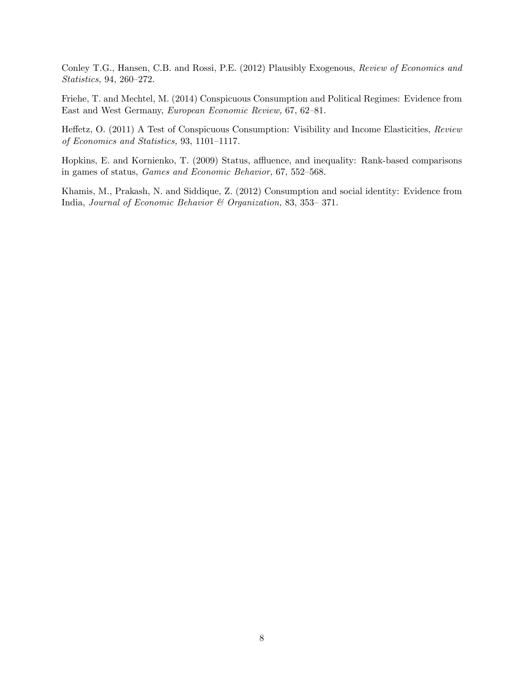Conley T.G., Hansen, C.B. and Rossi, P.E. (2012) Plausibly Exogenous, Review of Economics and  $Statistics, 94, 260-272.$ 

Friehe, T. and Mechtel, M. (2014) Conspicuous Consumption and Political Regimes: Evidence from East and West Germany, European Economic Review, 67, 62-81.

Heffetz, O. (2011) A Test of Conspicuous Consumption: Visibility and Income Elasticities, Review of Economics and Statistics, 93, 1101-1117.

Hopkins, E. and Kornienko, T. (2009) Status, affluence, and inequality: Rank-based comparisons in games of status, Games and Economic Behavior, 67, 552-568.

Khamis, M., Prakash, N. and Siddique, Z. (2012) Consumption and social identity: Evidence from India, Journal of Economic Behavior  $\mathcal C$  Organization, 83, 353–371.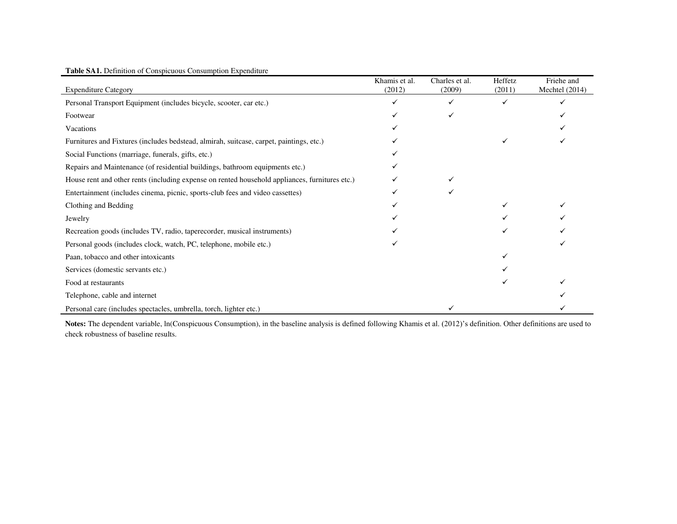| <b>Expenditure Category</b>                                                                    | Khamis et al.<br>(2012) | Charles et al.<br>(2009) | Heffetz<br>(2011) | Friehe and<br>Mechtel (2014) |
|------------------------------------------------------------------------------------------------|-------------------------|--------------------------|-------------------|------------------------------|
| Personal Transport Equipment (includes bicycle, scooter, car etc.)                             |                         |                          | ✓                 |                              |
| Footwear                                                                                       |                         |                          |                   |                              |
| Vacations                                                                                      |                         |                          |                   |                              |
| Furnitures and Fixtures (includes bedstead, almirah, suitcase, carpet, paintings, etc.)        |                         |                          |                   |                              |
| Social Functions (marriage, funerals, gifts, etc.)                                             |                         |                          |                   |                              |
| Repairs and Maintenance (of residential buildings, bathroom equipments etc.)                   |                         |                          |                   |                              |
| House rent and other rents (including expense on rented household appliances, furnitures etc.) |                         |                          |                   |                              |
| Entertainment (includes cinema, picnic, sports-club fees and video cassettes)                  |                         |                          |                   |                              |
| Clothing and Bedding                                                                           |                         |                          | ✓                 |                              |
| Jewelry                                                                                        |                         |                          |                   |                              |
| Recreation goods (includes TV, radio, taperecorder, musical instruments)                       |                         |                          |                   |                              |
| Personal goods (includes clock, watch, PC, telephone, mobile etc.)                             |                         |                          |                   |                              |
| Paan, tobacco and other intoxicants                                                            |                         |                          |                   |                              |
| Services (domestic servants etc.)                                                              |                         |                          |                   |                              |
| Food at restaurants                                                                            |                         |                          |                   |                              |
| Telephone, cable and internet                                                                  |                         |                          |                   |                              |
| Personal care (includes spectacles, umbrella, torch, lighter etc.)                             |                         |                          |                   |                              |

#### **Table SA1.** Definition of Conspicuous Consumption Expenditure

**Notes:** The dependent variable, ln(Conspicuous Consumption), in the baseline analysis is defined following Khamis et al. (2012)'s definition. Other definitions are used to check robustness of baseline results.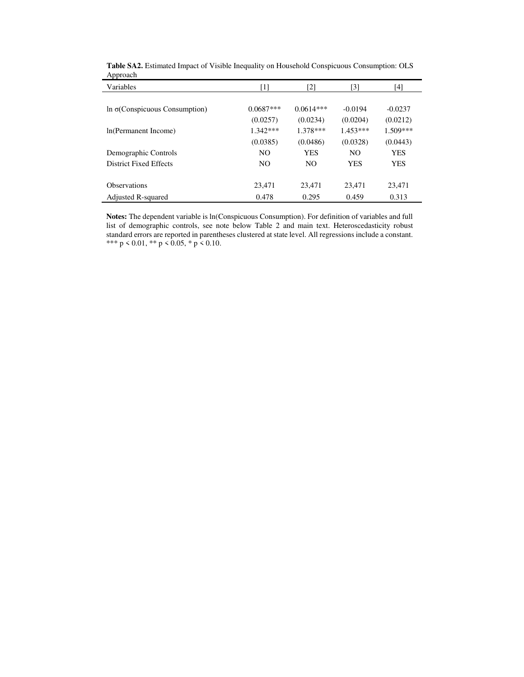| Variables                             | '11         | [2]            | [3]            | [4]        |
|---------------------------------------|-------------|----------------|----------------|------------|
|                                       |             |                |                |            |
| In $\sigma$ (Conspicuous Consumption) | $0.0687***$ | $0.0614***$    | $-0.0194$      | $-0.0237$  |
|                                       | (0.0257)    | (0.0234)       | (0.0204)       | (0.0212)   |
| In(Permanent Income)                  | $1.342***$  | $1.378***$     | $1.453***$     | $1.509***$ |
|                                       | (0.0385)    | (0.0486)       | (0.0328)       | (0.0443)   |
| Demographic Controls                  | NO.         | YES            | N <sub>O</sub> | <b>YES</b> |
| District Fixed Effects                | NO          | N <sub>O</sub> | YES            | <b>YES</b> |
|                                       |             |                |                |            |
| <b>Observations</b>                   | 23.471      | 23.471         | 23.471         | 23,471     |
| Adjusted R-squared                    | 0.478       | 0.295          | 0.459          | 0.313      |

|          | <b>Table SA2.</b> Estimated Impact of Visible Inequality on Household Conspicuous Consumption: OLS |  |  |
|----------|----------------------------------------------------------------------------------------------------|--|--|
| Approach |                                                                                                    |  |  |

**Notes:** The dependent variable is ln(Conspicuous Consumption). For definition of variables and full list of demographic controls, see note below Table 2 and main text. Heteroscedasticity robust standard errors are reported in parentheses clustered at state level. All regressions include a constant. \*\*\*  $p < 0.01$ , \*\*  $p < 0.05$ , \*  $p < 0.10$ .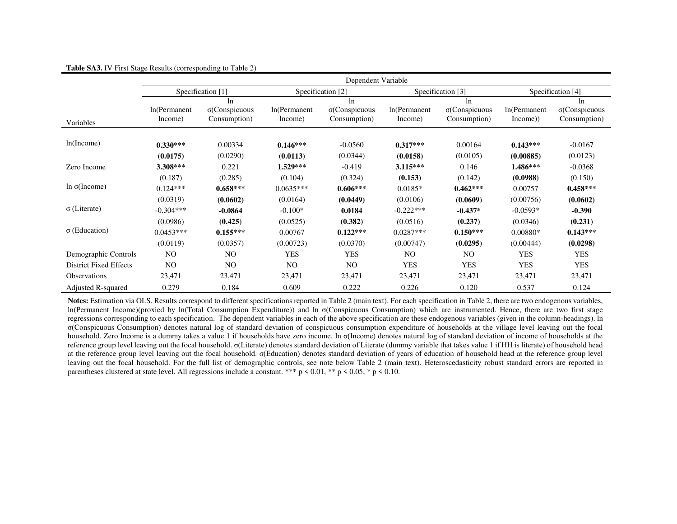|                               | Dependent Variable |                       |              |                       |                   |                       |                   |                       |
|-------------------------------|--------------------|-----------------------|--------------|-----------------------|-------------------|-----------------------|-------------------|-----------------------|
|                               |                    | Specification [1]     |              | Specification [2]     | Specification [3] |                       | Specification [4] |                       |
|                               |                    | ln                    |              | ln                    |                   | ln                    |                   | <sub>ln</sub>         |
|                               | In(Permanent       | $\sigma$ (Conspicuous | In(Permanent | $\sigma$ (Conspicuous | In(Permanent      | $\sigma$ (Conspicuous | In(Permanent      | $\sigma$ (Conspicuous |
| Variables                     | Income)            | Consumption)          | Income)      | Consumption)          | Income)           | Consumption)          | Income))          | Consumption)          |
|                               |                    |                       |              |                       |                   |                       |                   |                       |
| ln(Income)                    | $0.330***$         | 0.00334               | $0.146***$   | $-0.0560$             | $0.317***$        | 0.00164               | $0.143***$        | $-0.0167$             |
|                               | (0.0175)           | (0.0290)              | (0.0113)     | (0.0344)              | (0.0158)          | (0.0105)              | (0.00885)         | (0.0123)              |
| Zero Income                   | 3.308***           | 0.221                 | $1.529***$   | $-0.419$              | $3.115***$        | 0.146                 | $1.486***$        | $-0.0368$             |
|                               | (0.187)            | (0.285)               | (0.104)      | (0.324)               | (0.153)           | (0.142)               | (0.0988)          | (0.150)               |
| $ln \sigma($ Income)          | $0.124***$         | $0.658***$            | $0.0635***$  | $0.606***$            | $0.0185*$         | $0.462***$            | 0.00757           | $0.458***$            |
|                               | (0.0319)           | (0.0602)              | (0.0164)     | (0.0449)              | (0.0106)          | (0.0609)              | (0.00756)         | (0.0602)              |
| $\sigma$ (Literate)           | $-0.304***$        | $-0.0864$             | $-0.100*$    | 0.0184                | $-0.222***$       | $-0.437*$             | $-0.0593*$        | $-0.390$              |
|                               | (0.0986)           | (0.425)               | (0.0525)     | (0.382)               | (0.0516)          | (0.237)               | (0.0346)          | (0.231)               |
| $\sigma$ (Education)          | $0.0453***$        | $0.155***$            | 0.00767      | $0.122***$            | $0.0287***$       | $0.150***$            | $0.00880*$        | $0.143***$            |
|                               | (0.0119)           | (0.0357)              | (0.00723)    | (0.0370)              | (0.00747)         | (0.0295)              | (0.00444)         | (0.0298)              |
| Demographic Controls          | NO.                | N <sub>O</sub>        | YES          | <b>YES</b>            | NO.               | NO.                   | <b>YES</b>        | <b>YES</b>            |
| <b>District Fixed Effects</b> | NO.                | N <sub>O</sub>        | NO.          | NO.                   | <b>YES</b>        | <b>YES</b>            | <b>YES</b>        | <b>YES</b>            |
| <b>Observations</b>           | 23,471             | 23,471                | 23,471       | 23,471                | 23,471            | 23,471                | 23,471            | 23,471                |
| Adjusted R-squared            | 0.279              | 0.184                 | 0.609        | 0.222                 | 0.226             | 0.120                 | 0.537             | 0.124                 |

#### **Table SA3.** IV First Stage Results (corresponding to Table 2)

**Notes:** Estimation via OLS. Results correspond to different specifications reported in Table 2 (main text). For each specification in Table 2, there are two endogenous variables, ln(Permanent Income)(proxied by ln(Total Consumption Expenditure)) and ln σ(Conspicuous Consumption) which are instrumented. Hence, there are two first stage regressions corresponding to each specification. The dependent variables in each of the above specification are these endogenous variables (given in the column-headings). ln σ(Conspicuous Consumption) denotes natural log of standard deviation of conspicuous consumption expenditure of households at the village level leaving out the focal household. Zero Income is a dummy takes a value 1 if households have zero income. ln σ(Income) denotes natural log of standard deviation of income of households at the reference group level leaving out the focal household. σ(Literate) denotes standard deviation of Literate (dummy variable that takes value 1 if HH is literate) of household head at the reference group level leaving out the focal household. σ(Education) denotes standard deviation of years of education of household head at the reference group level leaving out the focal household. For the full list of demographic controls, see note below Table 2 (main text). Heteroscedasticity robust standard errors are reported in parentheses clustered at state level. All regressions include a constant. \*\*\* p < 0.01, \*\* p < 0.05, \* p < 0.10.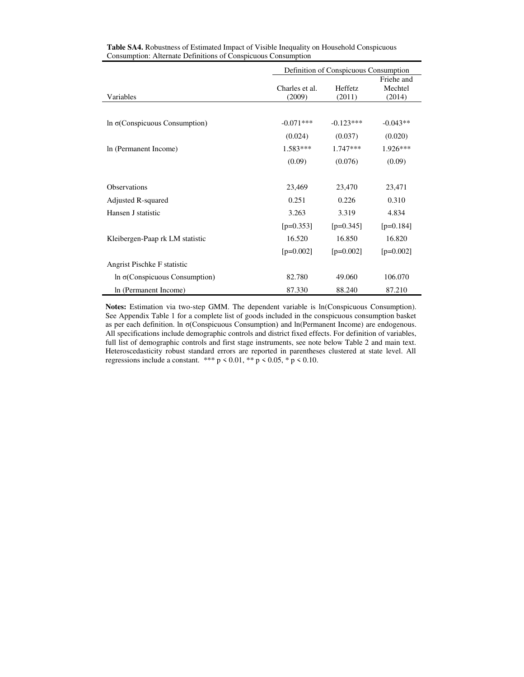|                                  | Definition of Conspicuous Consumption |                   |                                 |  |  |
|----------------------------------|---------------------------------------|-------------------|---------------------------------|--|--|
| Variables                        | Charles et al.<br>(2009)              | Heffetz<br>(2011) | Friehe and<br>Mechtel<br>(2014) |  |  |
|                                  |                                       |                   |                                 |  |  |
| $ln σ$ (Conspicuous Consumption) | $-0.071***$                           | $-0.123***$       | $-0.043**$                      |  |  |
|                                  | (0.024)                               | (0.037)           | (0.020)                         |  |  |
| In (Permanent Income)            | $1.583***$                            | $1.747***$        | $1.926***$                      |  |  |
|                                  | (0.09)                                | (0.076)           | (0.09)                          |  |  |
|                                  |                                       |                   |                                 |  |  |
| <b>Observations</b>              | 23,469                                | 23,470            | 23,471                          |  |  |
| Adjusted R-squared               | 0.251                                 | 0.226             | 0.310                           |  |  |
| Hansen J statistic               | 3.263                                 | 3.319             | 4.834                           |  |  |
|                                  | $[p=0.353]$                           | $[p=0.345]$       | $[p=0.184]$                     |  |  |
| Kleibergen-Paap rk LM statistic  | 16.520                                | 16.850            | 16.820                          |  |  |
|                                  | $[p=0.002]$                           | $[p=0.002]$       | $[p=0.002]$                     |  |  |
| Angrist Pischke F statistic      |                                       |                   |                                 |  |  |
| $ln σ$ (Conspicuous Consumption) | 82.780                                | 49.060            | 106.070                         |  |  |
| In (Permanent Income)            | 87.330                                | 88.240            | 87.210                          |  |  |

**Table SA4.** Robustness of Estimated Impact of Visible Inequality on Household Conspicuous Consumption: Alternate Definitions of Conspicuous Consumption

**Notes:** Estimation via two-step GMM. The dependent variable is ln(Conspicuous Consumption). See Appendix Table 1 for a complete list of goods included in the conspicuous consumption basket as per each definition. ln σ(Conspicuous Consumption) and ln(Permanent Income) are endogenous. All specifications include demographic controls and district fixed effects. For definition of variables, full list of demographic controls and first stage instruments, see note below Table 2 and main text. Heteroscedasticity robust standard errors are reported in parentheses clustered at state level. All regressions include a constant. \*\*\*  $p < 0.01$ , \*\*  $p < 0.05$ , \*  $p < 0.10$ .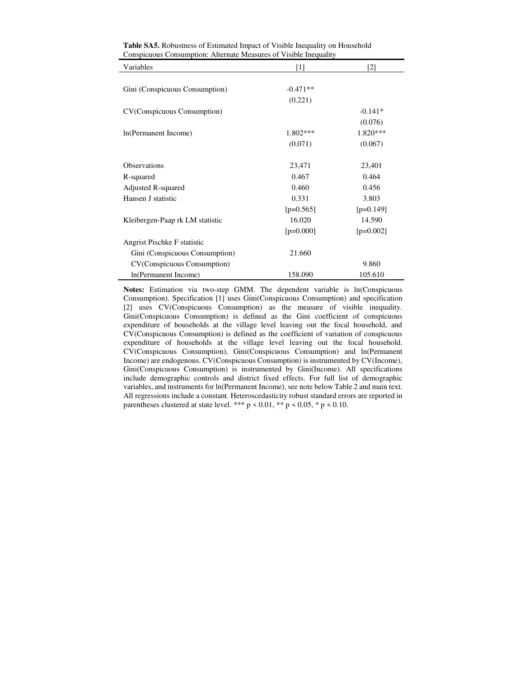| Variables                       | $\lceil 1 \rceil$ | [2]         |
|---------------------------------|-------------------|-------------|
|                                 |                   |             |
| Gini (Conspicuous Consumption)  | $-0.471**$        |             |
|                                 | (0.221)           |             |
| CV(Conspicuous Consumption)     |                   | $-0.141*$   |
|                                 |                   | (0.076)     |
| In(Permanent Income)            | $1.802***$        | $1.820***$  |
|                                 | (0.071)           | (0.067)     |
|                                 |                   |             |
| <b>Observations</b>             | 23,471            | 23,401      |
| R-squared                       | 0.467             | 0.464       |
| Adjusted R-squared              | 0.460             | 0.456       |
| Hansen J statistic              | 0.331             | 3.803       |
|                                 | $[p=0.565]$       | $[p=0.149]$ |
| Kleibergen-Paap rk LM statistic | 16.020            | 14.590      |
|                                 | $[p=0.000]$       | $[p=0.002]$ |
| Angrist Pischke F statistic     |                   |             |
| Gini (Conspicuous Consumption)  | 21.660            |             |
| CV(Conspicuous Consumption)     |                   | 9.860       |
| In(Permanent Income)            | 158.090           | 105.610     |

**Table SA5.** Robustness of Estimated Impact of Visible Inequality on Household Conspicuous Consumption: Alternate Measures of Visible Inequality

**Notes:** Estimation via two-step GMM. The dependent variable is ln(Conspicuous Consumption). Specification [1] uses Gini(Conspicuous Consumption) and specification [2] uses CV(Conspicuous Consumption) as the measure of visible inequality. Gini(Conspicuous Consumption) is defined as the Gini coefficient of conspicuous expenditure of households at the village level leaving out the focal household, and CV(Conspicuous Consumption) is defined as the coefficient of variation of conspicuous expenditure of households at the village level leaving out the focal household. CV(Conspicuous Consumption), Gini(Conspicuous Consumption) and ln(Permanent Income) are endogenous. CV(Conspicuous Consumption) is instrumented by CV(Income), Gini(Conspicuous Consumption) is instrumented by Gini(Income). All specifications include demographic controls and district fixed effects. For full list of demographic variables, and instruments for ln(Permanent Income), see note below Table 2 and main text. All regressions include a constant. Heteroscedasticity robust standard errors are reported in parentheses clustered at state level. \*\*\*  $p < 0.01$ , \*\*  $p < 0.05$ , \*  $p < 0.10$ .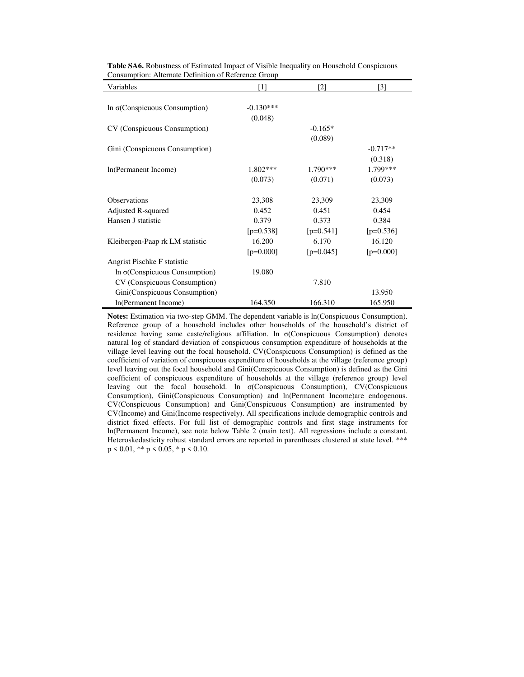| Variables                             | $\lceil 1 \rceil$ | [2]         | $[3]$       |
|---------------------------------------|-------------------|-------------|-------------|
|                                       |                   |             |             |
| In $\sigma$ (Conspicuous Consumption) | $-0.130***$       |             |             |
|                                       | (0.048)           |             |             |
| CV (Conspicuous Consumption)          |                   | $-0.165*$   |             |
|                                       |                   | (0.089)     |             |
| Gini (Conspicuous Consumption)        |                   |             | $-0.717**$  |
|                                       |                   |             | (0.318)     |
| In(Permanent Income)                  | $1.802***$        | $1.790***$  | 1.799***    |
|                                       | (0.073)           | (0.071)     | (0.073)     |
|                                       |                   |             |             |
| <b>Observations</b>                   | 23,308            | 23,309      | 23,309      |
| Adjusted R-squared                    | 0.452             | 0.451       | 0.454       |
| Hansen J statistic                    | 0.379             | 0.373       | 0.384       |
|                                       | $[p=0.538]$       | $[p=0.541]$ | $[p=0.536]$ |
| Kleibergen-Paap rk LM statistic       | 16.200            | 6.170       | 16.120      |
|                                       | $[p=0.000]$       | $[p=0.045]$ | $[p=0.000]$ |
| Angrist Pischke F statistic           |                   |             |             |
| $\ln \sigma$ Conspicuous Consumption) | 19.080            |             |             |
| CV (Conspicuous Consumption)          |                   | 7.810       |             |
| Gini(Conspicuous Consumption)         |                   |             | 13.950      |
| In(Permanent Income)                  | 164.350           | 166.310     | 165.950     |

**Table SA6.** Robustness of Estimated Impact of Visible Inequality on Household Conspicuous Consumption: Alternate Definition of Reference Group

**Notes:** Estimation via two-step GMM. The dependent variable is ln(Conspicuous Consumption). Reference group of a household includes other households of the household's district of residence having same caste/religious affiliation. ln σ(Conspicuous Consumption) denotes natural log of standard deviation of conspicuous consumption expenditure of households at the village level leaving out the focal household. CV(Conspicuous Consumption) is defined as the coefficient of variation of conspicuous expenditure of households at the village (reference group) level leaving out the focal household and Gini(Conspicuous Consumption) is defined as the Gini coefficient of conspicuous expenditure of households at the village (reference group) level leaving out the focal household. ln σ(Conspicuous Consumption), CV(Conspicuous Consumption), Gini(Conspicuous Consumption) and ln(Permanent Income)are endogenous. CV(Conspicuous Consumption) and Gini(Conspicuous Consumption) are instrumented by CV(Income) and Gini(Income respectively). All specifications include demographic controls and district fixed effects. For full list of demographic controls and first stage instruments for ln(Permanent Income), see note below Table 2 (main text). All regressions include a constant. Heteroskedasticity robust standard errors are reported in parentheses clustered at state level. \*\*\*  $p \le 0.01$ , \*\*  $p \le 0.05$ , \*  $p \le 0.10$ .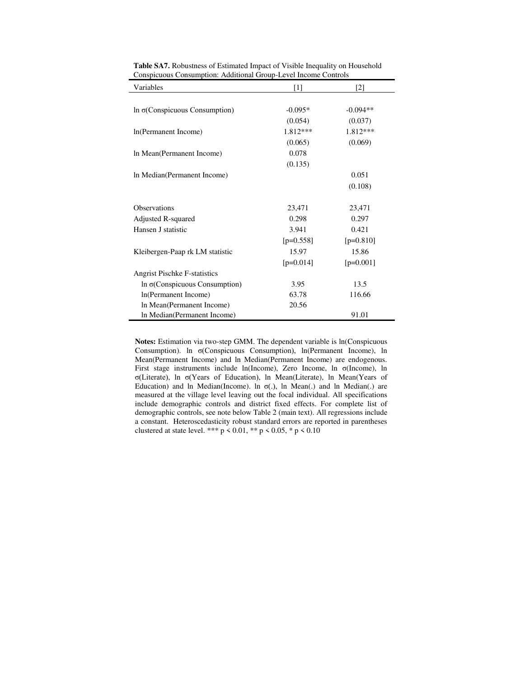| Variables                             | $[1]$       | [2]         |
|---------------------------------------|-------------|-------------|
|                                       |             |             |
| In $\sigma$ (Conspicuous Consumption) | $-0.095*$   | $-0.094**$  |
|                                       | (0.054)     | (0.037)     |
| In(Permanent Income)                  | 1.812***    | $1.812***$  |
|                                       | (0.065)     | (0.069)     |
| In Mean(Permanent Income)             | 0.078       |             |
|                                       | (0.135)     |             |
| In Median(Permanent Income)           |             | 0.051       |
|                                       |             | (0.108)     |
|                                       |             |             |
| <b>Observations</b>                   | 23,471      | 23,471      |
| Adjusted R-squared                    | 0.298       | 0.297       |
| Hansen J statistic                    | 3.941       | 0.421       |
|                                       | $[p=0.558]$ | $[p=0.810]$ |
| Kleibergen-Paap rk LM statistic       | 15.97       | 15.86       |
|                                       | $[p=0.014]$ | $[p=0.001]$ |
| <b>Angrist Pischke F-statistics</b>   |             |             |
| In $\sigma$ (Conspicuous Consumption) | 3.95        | 13.5        |
| In(Permanent Income)                  | 63.78       | 116.66      |
| In Mean(Permanent Income)             | 20.56       |             |
| In Median(Permanent Income)           |             | 91.01       |

**Table SA7.** Robustness of Estimated Impact of Visible Inequality on Household Conspicuous Consumption: Additional Group-Level Income Controls

**Notes:** Estimation via two-step GMM. The dependent variable is ln(Conspicuous Consumption). ln σ(Conspicuous Consumption), ln(Permanent Income), ln Mean(Permanent Income) and ln Median(Permanent Income) are endogenous. First stage instruments include ln(Income), Zero Income, ln σ(Income), ln σ(Literate), ln σ(Years of Education), ln Mean(Literate), ln Mean(Years of Education) and ln Median(Income). ln  $\sigma(.)$ , ln Mean(.) and ln Median(.) are measured at the village level leaving out the focal individual. All specifications include demographic controls and district fixed effects. For complete list of demographic controls, see note below Table 2 (main text). All regressions include a constant. Heteroscedasticity robust standard errors are reported in parentheses clustered at state level. \*\*\*  $p < 0.01$ , \*\*  $p < 0.05$ , \*  $p < 0.10$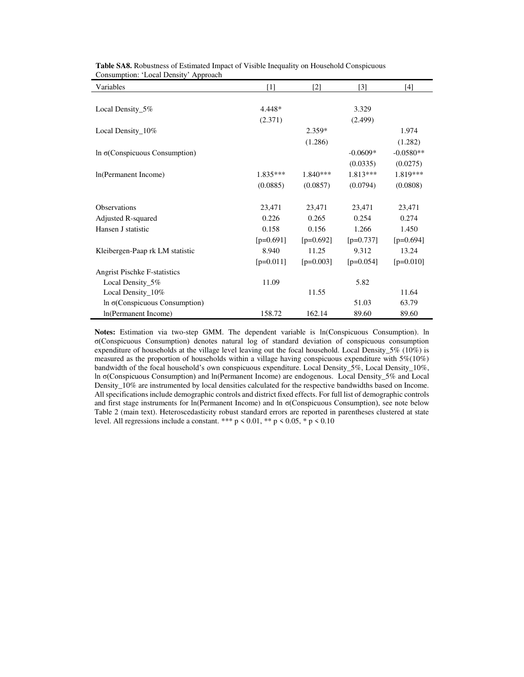| Variables                             | $[1]$       | $[2]$       | $[3]$       |             |
|---------------------------------------|-------------|-------------|-------------|-------------|
|                                       |             |             |             |             |
| Local Density 5%                      | 4.448*      |             | 3.329       |             |
|                                       | (2.371)     |             | (2.499)     |             |
| Local Density_10%                     |             | $2.359*$    |             | 1.974       |
|                                       |             | (1.286)     |             | (1.282)     |
| In $\sigma$ (Conspicuous Consumption) |             |             | $-0.0609*$  | $-0.0580**$ |
|                                       |             |             | (0.0335)    | (0.0275)    |
| In(Permanent Income)                  | 1.835***    | $1.840***$  | 1.813***    | 1.819***    |
|                                       | (0.0885)    | (0.0857)    | (0.0794)    | (0.0808)    |
|                                       |             |             |             |             |
| <b>Observations</b>                   | 23,471      | 23,471      | 23,471      | 23,471      |
| Adjusted R-squared                    | 0.226       | 0.265       | 0.254       | 0.274       |
| Hansen J statistic                    | 0.158       | 0.156       | 1.266       | 1.450       |
|                                       | $[p=0.691]$ | $[p=0.692]$ | $[p=0.737]$ | $[p=0.694]$ |
| Kleibergen-Paap rk LM statistic       | 8.940       | 11.25       | 9.312       | 13.24       |
|                                       | $[p=0.011]$ | $[p=0.003]$ | $[p=0.054]$ | $[p=0.010]$ |
| <b>Angrist Pischke F-statistics</b>   |             |             |             |             |
| Local Density 5%                      | 11.09       |             | 5.82        |             |
| Local Density 10%                     |             | 11.55       |             | 11.64       |
| In $\sigma$ (Conspicuous Consumption) |             |             | 51.03       | 63.79       |
| In(Permanent Income)                  | 158.72      | 162.14      | 89.60       | 89.60       |

**Table SA8.** Robustness of Estimated Impact of Visible Inequality on Household Conspicuous Consumption: 'Local Density' Approach

**Notes:** Estimation via two-step GMM. The dependent variable is ln(Conspicuous Consumption). ln σ(Conspicuous Consumption) denotes natural log of standard deviation of conspicuous consumption expenditure of households at the village level leaving out the focal household. Local Density\_5% (10%) is measured as the proportion of households within a village having conspicuous expenditure with  $5\%(10\%)$ bandwidth of the focal household's own conspicuous expenditure. Local Density\_5%, Local Density\_10%, ln σ(Conspicuous Consumption) and ln(Permanent Income) are endogenous. Local Density\_5% and Local Density\_10% are instrumented by local densities calculated for the respective bandwidths based on Income. All specifications include demographic controls and district fixed effects. For full list of demographic controls and first stage instruments for ln(Permanent Income) and ln σ(Conspicuous Consumption), see note below Table 2 (main text). Heteroscedasticity robust standard errors are reported in parentheses clustered at state level. All regressions include a constant. \*\*\*  $p \le 0.01$ , \*\*  $p \le 0.05$ , \* $p \le 0.10$